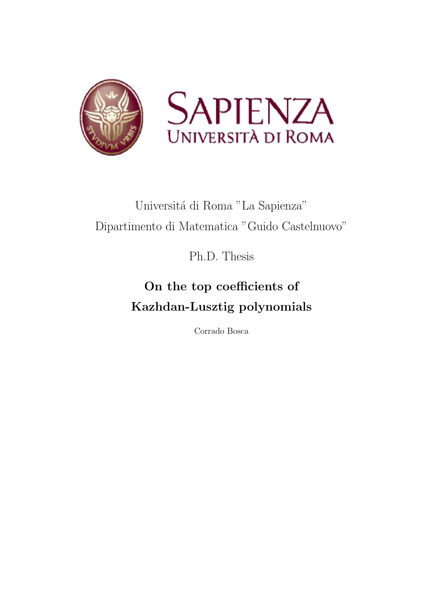

# Universitá di Roma "La Sapienza" Dipartimento di Matematica "Guido Castelnuovo"

Ph.D. Thesis

# On the top coefficients of Kazhdan-Lusztig polynomials

Corrado Bosca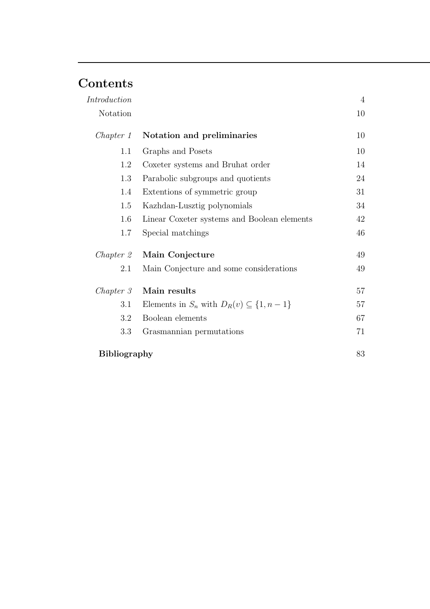## Contents

| Introduction        |                                                      | $\overline{4}$ |
|---------------------|------------------------------------------------------|----------------|
| Notation            |                                                      | 10             |
| Chapter 1           | Notation and preliminaries                           | 10             |
| 1.1                 | Graphs and Posets                                    | 10             |
| 1.2                 | Coxeter systems and Bruhat order                     | 14             |
| 1.3                 | Parabolic subgroups and quotients                    | 24             |
| 1.4                 | Extentions of symmetric group                        | 31             |
| 1.5                 | Kazhdan-Lusztig polynomials                          | 34             |
| 1.6                 | Linear Coxeter systems and Boolean elements          | 42             |
| 1.7                 | Special matchings                                    | 46             |
| Chapter 2           | Main Conjecture                                      | 49             |
| 2.1                 | Main Conjecture and some considerations              | 49             |
| Chapter 3           | Main results                                         | 57             |
| 3.1                 | Elements in $S_n$ with $D_R(v) \subseteq \{1, n-1\}$ | 57             |
| 3.2                 | Boolean elements                                     | 67             |
| 3.3                 | Grasmannian permutations                             | 71             |
| <b>Bibliography</b> |                                                      | 83             |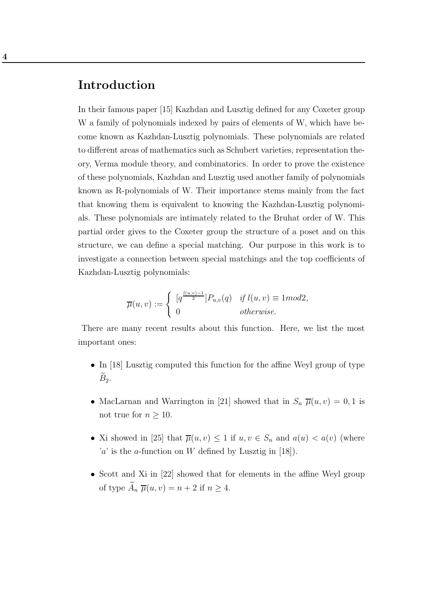### Introduction

In their famous paper [15] Kazhdan and Lusztig defined for any Coxeter group W a family of polynomials indexed by pairs of elements of W, which have become known as Kazhdan-Lusztig polynomials. These polynomials are related to different areas of mathematics such as Schubert varieties, representation theory, Verma module theory, and combinatorics. In order to prove the existence of these polynomials, Kazhdan and Lusztig used another family of polynomials known as R-polynomials of W. Their importance stems mainly from the fact that knowing them is equivalent to knowing the Kazhdan-Lusztig polynomials. These polynomials are intimately related to the Bruhat order of W. This partial order gives to the Coxeter group the structure of a poset and on this structure, we can define a special matching. Our purpose in this work is to investigate a connection between special matchings and the top coefficients of Kazhdan-Lusztig polynomials:

$$
\overline{\mu}(u,v) := \begin{cases}\n\left[q^{\frac{l(u,v)-1}{2}}\right] P_{u,v}(q) & \text{if } l(u,v) \equiv 1 \text{mod} 2, \\
0 & \text{otherwise.} \n\end{cases}
$$

There are many recent results about this function. Here, we list the most important ones:

- In [18] Lusztig computed this function for the affine Weyl group of type  $\widetilde{B}_2$ .
- MacLarnan and Warrington in [21] showed that in  $S_n \overline{\mu}(u, v) = 0, 1$  is not true for  $n \geq 10$ .
- Xi showed in [25] that  $\overline{\mu}(u, v) \leq 1$  if  $u, v \in S_n$  and  $a(u) < a(v)$  (where  $a'$  is the *a*-function on W defined by Lusztig in [18]).
- Scott and Xi in [22] showed that for elements in the affine Weyl group of type  $\widetilde{A}_n \ \overline{\mu}(u, v) = n + 2$  if  $n \ge 4$ .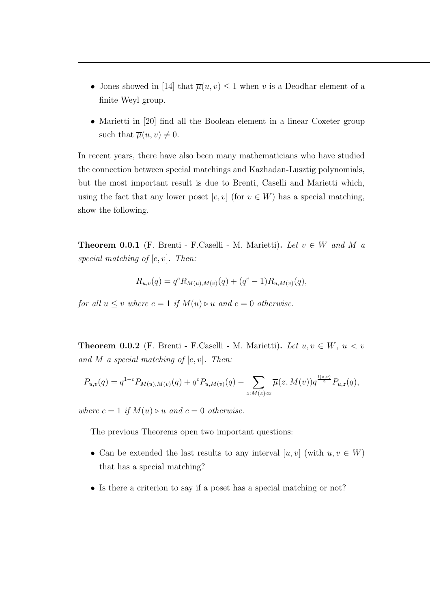- Jones showed in [14] that  $\overline{\mu}(u, v) \leq 1$  when v is a Deodhar element of a finite Weyl group.
- Marietti in [20] find all the Boolean element in a linear Coxeter group such that  $\overline{\mu}(u, v) \neq 0$ .

In recent years, there have also been many mathematicians who have studied the connection between special matchings and Kazhadan-Lusztig polynomials, but the most important result is due to Brenti, Caselli and Marietti which, using the fact that any lower poset  $[e, v]$  (for  $v \in W$ ) has a special matching, show the following.

**Theorem 0.0.1** (F. Brenti - F. Caselli - M. Marietti). Let  $v \in W$  and M a special matching of  $[e, v]$ . Then:

$$
R_{u,v}(q) = q^{c} R_{M(u),M(v)}(q) + (q^{c} - 1) R_{u,M(v)}(q),
$$

for all  $u \le v$  where  $c = 1$  if  $M(u) \triangleright u$  and  $c = 0$  otherwise.

**Theorem 0.0.2** (F. Brenti - F.Caselli - M. Marietti). Let  $u, v \in W$ ,  $u < v$ and M a special matching of  $[e, v]$ . Then:

$$
P_{u,v}(q) = q^{1-c} P_{M(u),M(v)}(q) + q^c P_{u,M(v)}(q) - \sum_{z:M(z)\triangleleft z} \overline{\mu}(z,M(v)) q^{\frac{l(z,v)}{2}} P_{u,z}(q),
$$

where  $c = 1$  if  $M(u) \triangleright u$  and  $c = 0$  otherwise.

The previous Theorems open two important questions:

- Can be extended the last results to any interval  $[u, v]$  (with  $u, v \in W$ ) that has a special matching?
- Is there a criterion to say if a poset has a special matching or not?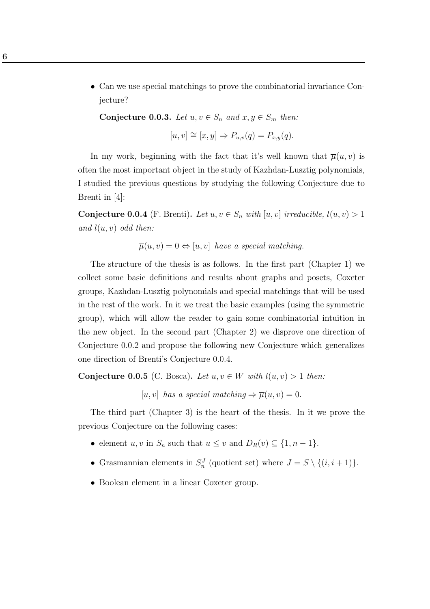• Can we use special matchings to prove the combinatorial invariance Conjecture?

Conjecture 0.0.3. Let  $u, v \in S_n$  and  $x, y \in S_m$  then:

$$
[u, v] \cong [x, y] \Rightarrow P_{u,v}(q) = P_{x,y}(q).
$$

In my work, beginning with the fact that it's well known that  $\overline{\mu}(u, v)$  is often the most important object in the study of Kazhdan-Lusztig polynomials, I studied the previous questions by studying the following Conjecture due to Brenti in [4]:

Conjecture 0.0.4 (F. Brenti). Let  $u, v \in S_n$  with  $[u, v]$  irreducible,  $l(u, v) > 1$ and  $l(u, v)$  odd then:

 $\overline{\mu}(u, v) = 0 \Leftrightarrow [u, v]$  have a special matching.

The structure of the thesis is as follows. In the first part (Chapter 1) we collect some basic definitions and results about graphs and posets, Coxeter groups, Kazhdan-Lusztig polynomials and special matchings that will be used in the rest of the work. In it we treat the basic examples (using the symmetric group), which will allow the reader to gain some combinatorial intuition in the new object. In the second part (Chapter 2) we disprove one direction of Conjecture 0.0.2 and propose the following new Conjecture which generalizes one direction of Brenti's Conjecture 0.0.4.

Conjecture 0.0.5 (C. Bosca). Let  $u, v \in W$  with  $l(u, v) > 1$  then:

 $[u, v]$  has a special matching  $\Rightarrow \overline{\mu}(u, v) = 0.$ 

The third part (Chapter 3) is the heart of the thesis. In it we prove the previous Conjecture on the following cases:

- element u, v in  $S_n$  such that  $u \le v$  and  $D_R(v) \subseteq \{1, n-1\}.$
- Grasmannian elements in  $S_n^J$  (quotient set) where  $J = S \setminus \{(i, i + 1)\}.$
- Boolean element in a linear Coxeter group.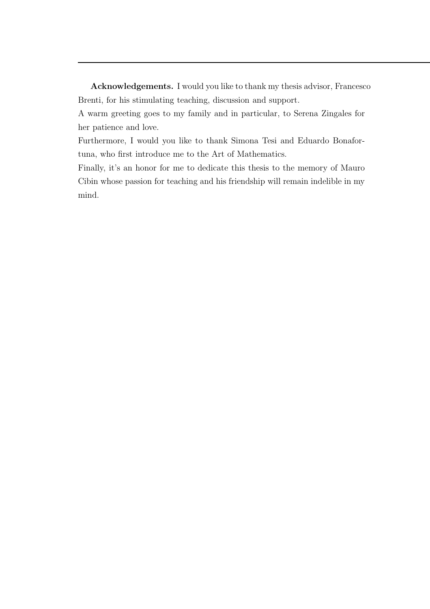Acknowledgements. I would you like to thank my thesis advisor, Francesco Brenti, for his stimulating teaching, discussion and support.

A warm greeting goes to my family and in particular, to Serena Zingales for her patience and love.

Furthermore, I would you like to thank Simona Tesi and Eduardo Bonafortuna, who first introduce me to the Art of Mathematics.

Finally, it's an honor for me to dedicate this thesis to the memory of Mauro Cibin whose passion for teaching and his friendship will remain indelible in my mind.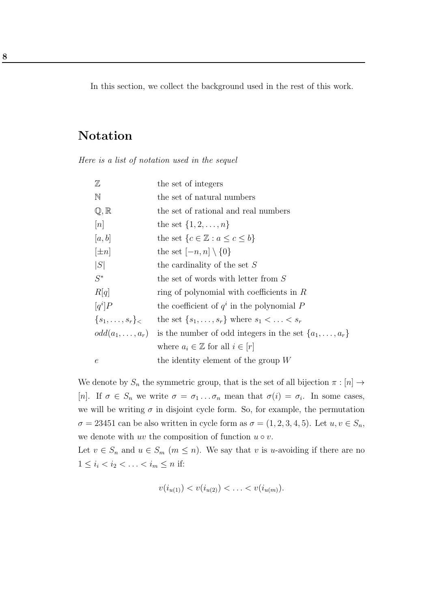In this section, we collect the background used in the rest of this work.

## Notation

Here is a list of notation used in the sequel

| $\mathbb Z$               | the set of integers                                             |
|---------------------------|-----------------------------------------------------------------|
| $\mathbb N$               | the set of natural numbers                                      |
| $\mathbb{Q}, \mathbb{R}$  | the set of rational and real numbers                            |
| [n]                       | the set $\{1, 2, , n\}$                                         |
| [a, b]                    | the set $\{c \in \mathbb{Z} : a \leq c \leq b\}$                |
| $[\pm n]$                 | the set $[-n, n] \setminus \{0\}$                               |
| S                         | the cardinality of the set $S$                                  |
| $S^*$                     | the set of words with letter from $S$                           |
| R[q]                      | ring of polynomial with coefficients in $R$                     |
| $[q^i]P$                  | the coefficient of $q^i$ in the polynomial P                    |
| $\{s_1,\ldots,s_r\}_\leq$ | the set $\{s_1, \ldots, s_r\}$ where $s_1 < \ldots < s_r$       |
| $odd(a_1,\ldots,a_r)$     | is the number of odd integers in the set $\{a_1, \ldots, a_r\}$ |
|                           | where $a_i \in \mathbb{Z}$ for all $i \in [r]$                  |
| $\epsilon$                | the identity element of the group $W$                           |

We denote by  $S_n$  the symmetric group, that is the set of all bijection  $\pi : [n] \rightarrow$ [n]. If  $\sigma \in S_n$  we write  $\sigma = \sigma_1 \dots \sigma_n$  mean that  $\sigma(i) = \sigma_i$ . In some cases, we will be writing  $\sigma$  in disjoint cycle form. So, for example, the permutation  $\sigma = 23451$  can be also written in cycle form as  $\sigma = (1, 2, 3, 4, 5)$ . Let  $u, v \in S_n$ , we denote with uv the composition of function  $u \circ v$ .

Let  $v \in S_n$  and  $u \in S_m$   $(m \leq n)$ . We say that v is u-avoiding if there are no  $1 \le i_1 < i_2 < \ldots < i_m \le n$  if:

$$
v(i_{u(1)}) < v(i_{u(2)}) < \ldots < v(i_{u(m)}).
$$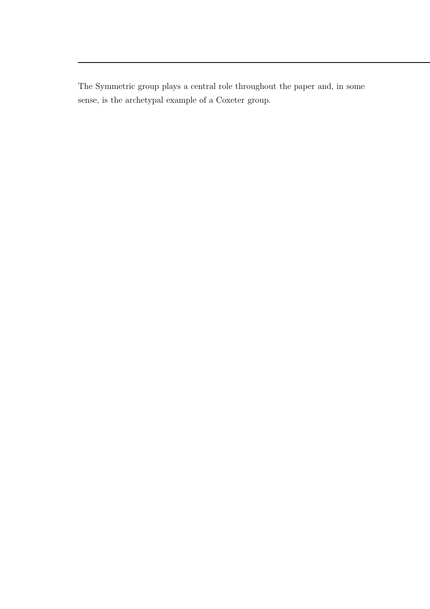The Symmetric group plays a central role throughout the paper and, in some sense, is the archetypal example of a Coxeter group.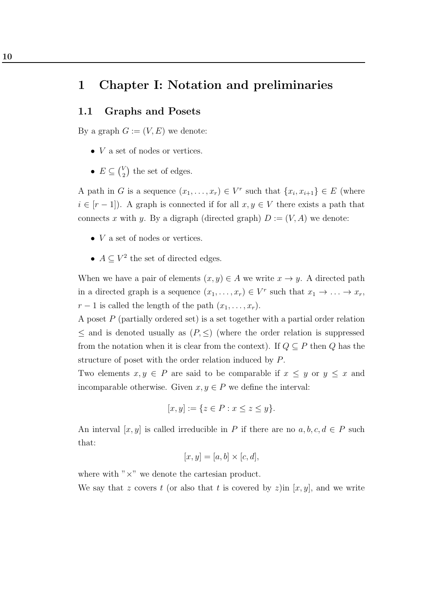### 1 Chapter I: Notation and preliminaries

#### 1.1 Graphs and Posets

By a graph  $G := (V, E)$  we denote:

- $\bullet$  V a set of nodes or vertices.
- $E \subseteq {V \choose 2}$  $\binom{V}{2}$  the set of edges.

A path in G is a sequence  $(x_1, \ldots, x_r) \in V^r$  such that  $\{x_i, x_{i+1}\} \in E$  (where  $i \in [r-1]$ . A graph is connected if for all  $x, y \in V$  there exists a path that connects x with y. By a digraph (directed graph)  $D := (V, A)$  we denote:

- $\bullet$  V a set of nodes or vertices.
- $A \subseteq V^2$  the set of directed edges.

When we have a pair of elements  $(x, y) \in A$  we write  $x \to y$ . A directed path in a directed graph is a sequence  $(x_1, \ldots, x_r) \in V^r$  such that  $x_1 \to \ldots \to x_r$ ,  $r-1$  is called the length of the path  $(x_1, \ldots, x_r)$ .

A poset  $P$  (partially ordered set) is a set together with a partial order relation  $\leq$  and is denoted usually as  $(P, \leq)$  (where the order relation is suppressed from the notation when it is clear from the context). If  $Q \subseteq P$  then Q has the structure of poset with the order relation induced by P.

Two elements  $x, y \in P$  are said to be comparable if  $x \leq y$  or  $y \leq x$  and incomparable otherwise. Given  $x, y \in P$  we define the interval:

$$
[x, y] := \{ z \in P : x \le z \le y \}.
$$

An interval  $[x, y]$  is called irreducible in P if there are no  $a, b, c, d \in P$  such that:

$$
[x, y] = [a, b] \times [c, d],
$$

where with " $\times$ " we denote the cartesian product.

We say that z covers t (or also that t is covered by z)in  $[x, y]$ , and we write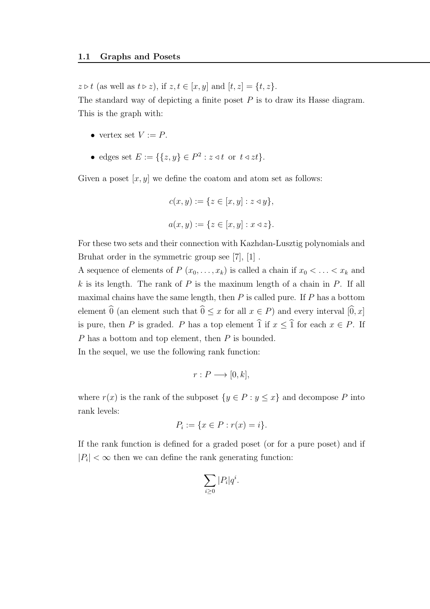$z \triangleright t$  (as well as  $t \triangleright z$ ), if  $z, t \in [x, y]$  and  $[t, z] = \{t, z\}.$ The standard way of depicting a finite poset  $P$  is to draw its Hasse diagram. This is the graph with:

- vertex set  $V := P$ .
- edges set  $E := \{ \{z, y\} \in P^2 : z \triangleleft t \text{ or } t \triangleleft zt \}.$

Given a poset  $[x, y]$  we define the coatom and atom set as follows:

$$
c(x, y) := \{ z \in [x, y] : z \triangleleft y \},
$$
  

$$
a(x, y) := \{ z \in [x, y] : x \triangleleft z \}.
$$

For these two sets and their connection with Kazhdan-Lusztig polynomials and Bruhat order in the symmetric group see [7], [1] .

A sequence of elements of  $P(x_0, \ldots, x_k)$  is called a chain if  $x_0 < \ldots < x_k$  and  $k$  is its length. The rank of  $P$  is the maxinum length of a chain in  $P$ . If all maximal chains have the same length, then  $P$  is called pure. If  $P$  has a bottom element  $\widehat{0}$  (an element such that  $\widehat{0} \leq x$  for all  $x \in P$ ) and every interval  $[\widehat{0}, x]$ is pure, then P is graded. P has a top element  $\hat{1}$  if  $x \leq \hat{1}$  for each  $x \in P$ . If P has a bottom and top element, then P is bounded.

In the sequel, we use the following rank function:

$$
r: P \longrightarrow [0, k],
$$

where  $r(x)$  is the rank of the subposet  $\{y \in P : y \leq x\}$  and decompose P into rank levels:

$$
P_i := \{ x \in P : r(x) = i \}.
$$

If the rank function is defined for a graded poset (or for a pure poset) and if  $|P_i| < \infty$  then we can define the rank generating function:

$$
\sum_{i\geq 0} |P_i|q^i.
$$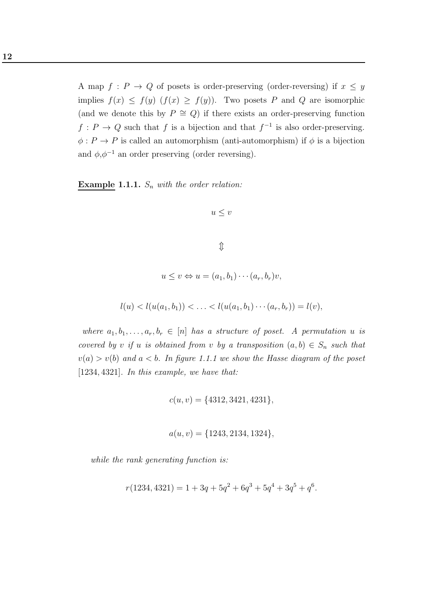A map  $f : P \to Q$  of posets is order-preserving (order-reversing) if  $x \leq y$ implies  $f(x) \leq f(y)$   $(f(x) \geq f(y))$ . Two posets P and Q are isomorphic (and we denote this by  $P \cong Q$ ) if there exists an order-preserving function  $f: P \to Q$  such that f is a bijection and that  $f^{-1}$  is also order-preserving.  $\phi: P \to P$  is called an automorphism (anti-automorphism) if  $\phi$  is a bijection and  $\phi, \phi^{-1}$  an order preserving (order reversing).

Example 1.1.1.  $S_n$  with the order relation:

$$
u\leq v
$$

 $\mathbb{\hat{I}}$ 

$$
u \le v \Leftrightarrow u = (a_1, b_1) \cdots (a_r, b_r) v,
$$

$$
l(u) < l(u(a_1, b_1)) < \ldots < l(u(a_1, b_1) \cdots (a_r, b_r)) = l(v),
$$

where  $a_1, b_1, \ldots, a_r, b_r \in [n]$  has a structure of poset. A permutation u is covered by v if u is obtained from v by a transposition  $(a, b) \in S_n$  such that  $v(a) > v(b)$  and  $a < b$ . In figure 1.1.1 we show the Hasse diagram of the poset [1234, 4321]. In this example, we have that:

$$
c(u, v) = \{4312, 3421, 4231\},\
$$

$$
a(u, v) = \{1243, 2134, 1324\},\
$$

while the rank generating function is:

$$
r(1234, 4321) = 1 + 3q + 5q^{2} + 6q^{3} + 5q^{4} + 3q^{5} + q^{6}.
$$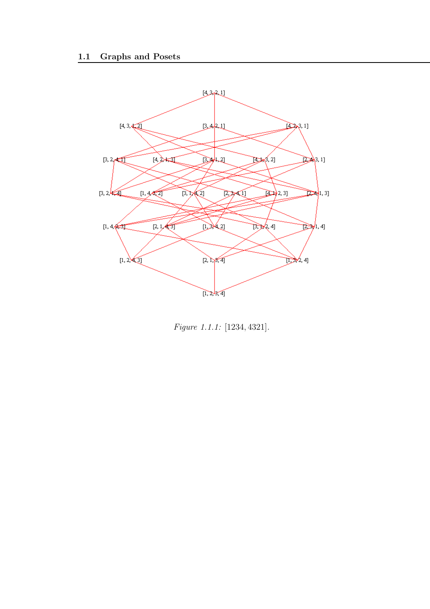

Figure 1.1.1: [1234, 4321].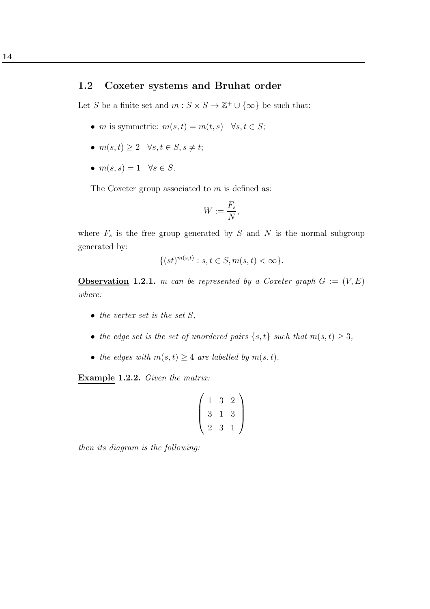#### 1.2 Coxeter systems and Bruhat order

Let S be a finite set and  $m: S \times S \to \mathbb{Z}^+ \cup {\infty}$  be such that:

- *m* is symmetric:  $m(s, t) = m(t, s)$   $\forall s, t \in S;$
- $m(s,t) \geq 2 \quad \forall s,t \in S, s \neq t;$
- $m(s, s) = 1 \quad \forall s \in S$ .

The Coxeter group associated to  $m$  is defined as:

$$
W := \frac{F_s}{N},
$$

where  $F_s$  is the free group generated by S and N is the normal subgroup generated by:

$$
\{(st)^{m(s,t)} : s, t \in S, m(s,t) < \infty\}.
$$

**Observation 1.2.1.** m can be represented by a Coxeter graph  $G := (V, E)$ where:

- the vertex set is the set  $S$ ,
- the edge set is the set of unordered pairs  $\{s, t\}$  such that  $m(s, t) \geq 3$ ,
- the edges with  $m(s, t) \geq 4$  are labelled by  $m(s, t)$ .

Example 1.2.2. Given the matrix:

$$
\left(\begin{array}{rrr}1 & 3 & 2 \\3 & 1 & 3 \\2 & 3 & 1\end{array}\right)
$$

then its diagram is the following: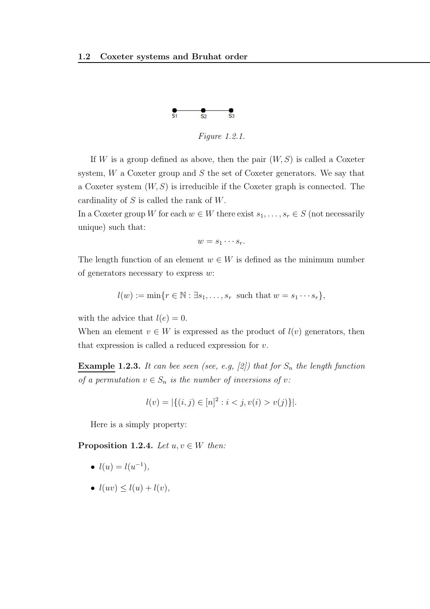

Figure 1.2.1.

If W is a group defined as above, then the pair  $(W, S)$  is called a Coxeter system,  $W$  a Coxeter group and  $S$  the set of Coxeter generators. We say that a Coxeter system  $(W, S)$  is irreducible if the Coxeter graph is connected. The cardinality of S is called the rank of W.

In a Coxeter group W for each  $w \in W$  there exist  $s_1, \ldots, s_r \in S$  (not necessarily unique) such that:

$$
w=s_1\cdots s_r.
$$

The length function of an element  $w \in W$  is defined as the minimum number of generators necessary to express  $w$ :

$$
l(w) := \min\{r \in \mathbb{N} : \exists s_1, \dots, s_r \text{ such that } w = s_1 \cdots s_r\},\
$$

with the advice that  $l(e) = 0$ .

When an element  $v \in W$  is expressed as the product of  $l(v)$  generators, then that expression is called a reduced expression for  $v$ .

**Example 1.2.3.** It can bee seen (see, e.g, [2]) that for  $S_n$  the length function of a permutation  $v \in S_n$  is the number of inversions of v:

$$
l(v) = |\{(i, j) \in [n]^2 : i < j, v(i) > v(j)\}|.
$$

Here is a simply property:

**Proposition 1.2.4.** Let  $u, v \in W$  then:

- $l(u) = l(u^{-1}),$
- $l(uv) \leq l(u) + l(v)$ ,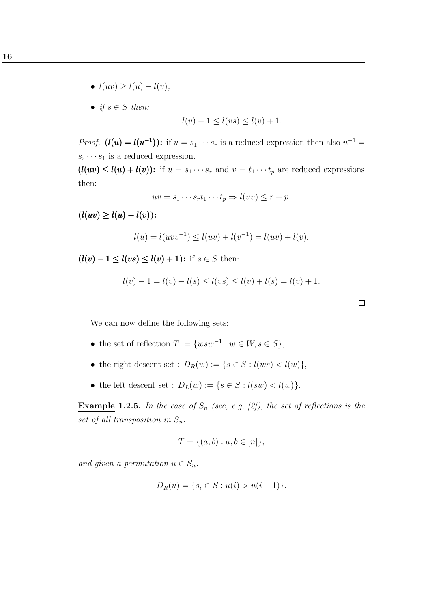- $l(uv) \geq l(u) l(v)$ ,
- if  $s \in S$  then:

$$
l(v) - 1 \le l(vs) \le l(v) + 1.
$$

*Proof.*  $(l(u) = l(u^{-1}))$ : if  $u = s_1 \cdots s_r$  is a reduced expression then also  $u^{-1} =$  $s_r \cdots s_1$  is a reduced expression.

 $(l(uv) \leq l(u) + l(v))$ : if  $u = s_1 \cdots s_r$  and  $v = t_1 \cdots t_p$  are reduced expressions then:

$$
uv = s_1 \cdots s_r t_1 \cdots t_p \Rightarrow l(uv) \le r + p.
$$

 $(l(uv) \ge l(u) - l(v))$ :

$$
l(u) = l(uvv^{-1}) \le l(uv) + l(v^{-1}) = l(uv) + l(v).
$$

 $(l(v) - 1 \leq l(vs) \leq l(v) + 1)$ : if  $s \in S$  then:

$$
l(v) - 1 = l(v) - l(s) \le l(vs) \le l(v) + l(s) = l(v) + 1.
$$

 $\Box$ 

We can now define the following sets:

- the set of reflection  $T := \{ wsw^{-1} : w \in W, s \in S \},\$
- the right descent set :  $D_R(w) := \{ s \in S : l(ws) < l(w) \},\$
- the left descent set :  $D_L(w) := \{ s \in S : l(sw) < l(w) \}.$

**Example 1.2.5.** In the case of  $S_n$  (see, e.g, [2]), the set of reflections is the set of all transposition in  $S_n$ :

$$
T = \{(a, b) : a, b \in [n]\},\
$$

and given a permutation  $u \in S_n$ :

$$
D_R(u) = \{ s_i \in S : u(i) > u(i+1) \}.
$$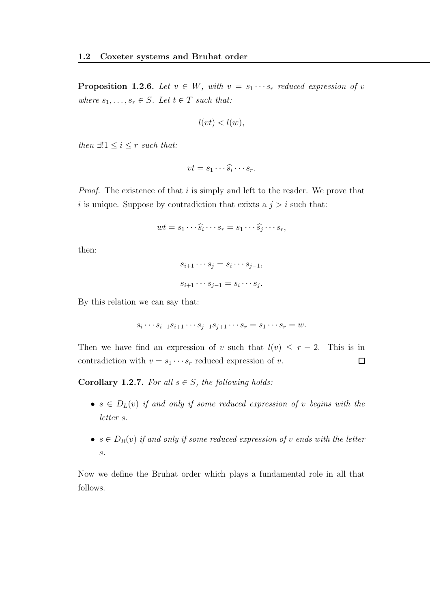**Proposition 1.2.6.** Let  $v \in W$ , with  $v = s_1 \cdots s_r$  reduced expression of v where  $s_1, \ldots, s_r \in S$ . Let  $t \in T$  such that:

$$
l(vt) < l(w),
$$

then  $\exists !1 \leq i \leq r$  such that:

$$
vt = s_1 \cdots \widehat{s_i} \cdots s_r.
$$

*Proof.* The existence of that  $i$  is simply and left to the reader. We prove that i is unique. Suppose by contradiction that exixts a  $j > i$  such that:

$$
wt = s_1 \cdots \widehat{s_i} \cdots s_r = s_1 \cdots \widehat{s_j} \cdots s_r,
$$

then:

$$
s_{i+1} \cdots s_j = s_i \cdots s_{j-1},
$$
  

$$
s_{i+1} \cdots s_{j-1} = s_i \cdots s_j.
$$

By this relation we can say that:

$$
s_i \cdots s_{i-1} s_{i+1} \cdots s_{j-1} s_{j+1} \cdots s_r = s_1 \cdots s_r = w.
$$

Then we have find an expression of v such that  $l(v) \leq r-2$ . This is in contradiction with  $v = s_1 \cdots s_r$  reduced expression of v.  $\Box$ 

Corollary 1.2.7. For all  $s \in S$ , the following holds:

- $s \in D_L(v)$  if and only if some reduced expression of v begins with the letter s.
- $s \in D_R(v)$  if and only if some reduced expression of v ends with the letter s.

Now we define the Bruhat order which plays a fundamental role in all that follows.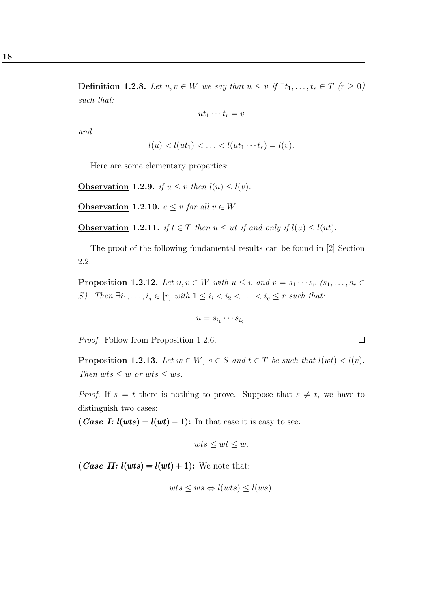18

**Definition 1.2.8.** Let  $u, v \in W$  we say that  $u \leq v$  if  $\exists t_1, \ldots, t_r \in T$   $(r \geq 0)$ such that:

$$
ut_1\cdots t_r=v
$$

and

$$
l(u) < l(ut_1) < \ldots < l(ut_1 \cdots t_r) = l(v).
$$

Here are some elementary properties:

**Observation 1.2.9.** if  $u \leq v$  then  $l(u) \leq l(v)$ .

**Observation 1.2.10.**  $e \leq v$  for all  $v \in W$ .

**Observation 1.2.11.** if  $t \in T$  then  $u \leq ut$  if and only if  $l(u) \leq l(ut)$ .

The proof of the following fundamental results can be found in [2] Section 2.2.

**Proposition 1.2.12.** Let  $u, v \in W$  with  $u \leq v$  and  $v = s_1 \cdots s_r$   $(s_1, \ldots, s_r \in W)$ S). Then  $\exists i_1, \ldots, i_q \in [r]$  with  $1 \leq i_i < i_2 < \ldots < i_q \leq r$  such that:

$$
u = s_{i_1} \cdots s_{i_q}.
$$

Proof. Follow from Proposition 1.2.6.

**Proposition 1.2.13.** Let  $w \in W$ ,  $s \in S$  and  $t \in T$  be such that  $l(wt) < l(v)$ . Then  $wts \leq w$  or  $wts \leq ws$ .

*Proof.* If  $s = t$  there is nothing to prove. Suppose that  $s \neq t$ , we have to distinguish two cases:

(*Case I:*  $l(wts) = l(wt) - 1$ ): In that case it is easy to see:

$$
wts \le wt \le w.
$$

(*Case II:*  $l(wts) = l(wt) + 1$ ): We note that:

$$
wts \le ws \Leftrightarrow l(wts) \le l(ws).
$$

 $\Box$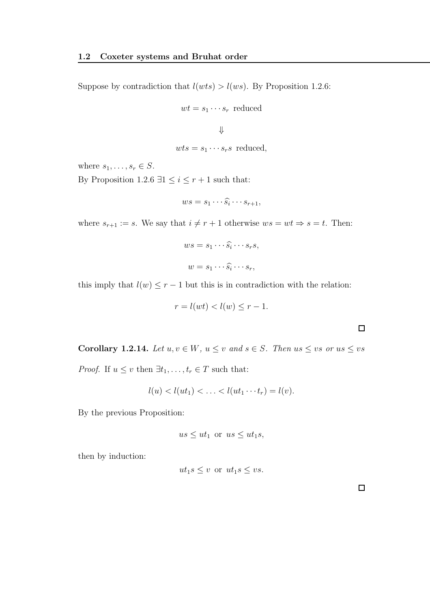Suppose by contradiction that  $l(wts) > l(ws)$ . By Proposition 1.2.6:

$$
wt = s_1 \cdots s_r
$$
 reduced

$$
\qquad \qquad \Downarrow
$$

$$
wts = s_1 \cdots s_r s
$$
 reduced,

where  $s_1, \ldots, s_r \in S$ .

By Proposition 1.2.6 ∃1  $\leq i \leq r+1$  such that:

$$
ws = s_1 \cdots \widehat{s_i} \cdots s_{r+1},
$$

where  $s_{r+1} := s$ . We say that  $i \neq r + 1$  otherwise  $ws = wt \Rightarrow s = t$ . Then:

$$
ws = s_1 \cdots \widehat{s_i} \cdots s_r s,
$$
  

$$
w = s_1 \cdots \widehat{s_i} \cdots s_r,
$$

this imply that  $l(w) \leq r - 1$  but this is in contradiction with the relation:

$$
r = l(wt) < l(w) \le r - 1.
$$

| <b>Corollary 1.2.14.</b> Let $u, v \in W$ , $u \leq v$ and $s \in S$ . Then $us \leq vs$ or $us \leq vs$ |  |  |  |
|----------------------------------------------------------------------------------------------------------|--|--|--|
| <i>Proof.</i> If $u \leq v$ then $\exists t_1, \ldots, t_r \in T$ such that:                             |  |  |  |

$$
l(u) < l(ut_1) < \ldots < l(ut_1 \cdots t_r) = l(v).
$$

By the previous Proposition:

$$
us \le ut_1
$$
 or  $us \le ut_1s$ ,

then by induction:

$$
ut_1s \le v \text{ or } ut_1s \le vs.
$$

 $\Box$ 

 $\Box$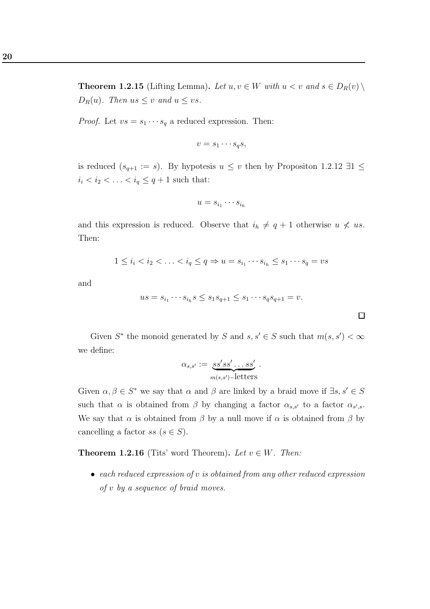**Theorem 1.2.15** (Lifting Lemma). Let  $u, v \in W$  with  $u < v$  and  $s \in D_R(v) \setminus$  $D_R(u)$ . Then us  $\leq v$  and  $u \leq vs$ .

*Proof.* Let  $vs = s_1 \cdots s_q$  a reduced expression. Then:

$$
v = s_1 \cdots s_q s,
$$

is reduced  $(s_{q+1} := s)$ . By hypotesis  $u \leq v$  then by Propositon 1.2.12 ∃1  $\leq$  $i_i < i_2 < \ldots < i_q \leq q+1$  such that:

$$
u = s_{i_1} \cdots s_{i_h}
$$

and this expression is reduced. Observe that  $i_h \neq q + 1$  otherwise  $u \not\leq u s$ . Then:

$$
1 \leq i_i < i_2 < \ldots < i_q \leq q \Rightarrow u = s_{i_1} \cdots s_{i_h} \leq s_1 \cdots s_q = vs
$$

and

$$
us = s_{i_1} \cdots s_{i_h} s \le s_1 s_{q+1} \le s_1 \cdots s_q s_{q+1} = v.
$$

Given  $S^*$  the monoid generated by S and  $s, s' \in S$  such that  $m(s, s') < \infty$ we define:

$$
\alpha_{s,s'} := \underbrace{ss'ss' \dots ss'}_{m(s,s')-\text{letters}}.
$$

Given  $\alpha, \beta \in S^*$  we say that  $\alpha$  and  $\beta$  are linked by a braid move if  $\exists s, s' \in S$ such that  $\alpha$  is obtained from  $\beta$  by changing a factor  $\alpha_{s,s'}$  to a factor  $\alpha_{s',s}$ . We say that  $\alpha$  is obtained from  $\beta$  by a null move if  $\alpha$  is obtained from  $\beta$  by cancelling a factor ss  $(s \in S)$ .

**Theorem 1.2.16** (Tits' word Theorem). Let  $v \in W$ . Then:

• each reduced expression of v is obtained from any other reduced expression of v by a sequence of braid moves.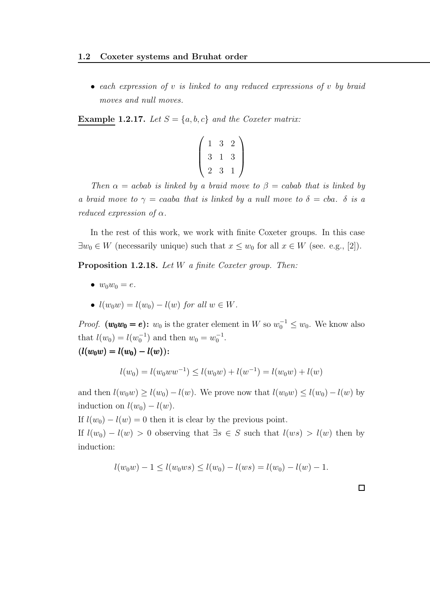• each expression of  $v$  is linked to any reduced expressions of  $v$  by braid moves and null moves.

**Example 1.2.17.** Let  $S = \{a, b, c\}$  and the Coxeter matrix:

$$
\left(\begin{array}{rrr}1 & 3 & 2 \\3 & 1 & 3 \\2 & 3 & 1\end{array}\right)
$$

Then  $\alpha = acbab$  is linked by a braid move to  $\beta = cabab$  that is linked by a braid move to  $\gamma = caaba$  that is linked by a null move to  $\delta = cba$ .  $\delta$  is a reduced expression of  $\alpha$ .

In the rest of this work, we work with finite Coxeter groups. In this case  $\exists w_0 \in W$  (necessarily unique) such that  $x \leq w_0$  for all  $x \in W$  (see. e.g., [2]).

Proposition 1.2.18. Let W a finite Coxeter group. Then:

- $w_0w_0 = e$ .
- $l(w_0w) = l(w_0) l(w)$  for all  $w \in W$ .

*Proof.*  $(w_0w_0 = e)$ :  $w_0$  is the grater element in W so  $w_0^{-1} \leq w_0$ . We know also that  $l(w_0) = l(w_0^{-1})$  and then  $w_0 = w_0^{-1}$ .  $(l(w_0w) = l(w_0) - l(w))$ :

$$
\iota(w_0w)-\iota(w_0)-\iota(w)).
$$

$$
l(w_0) = l(w_0ww^{-1}) \le l(w_0w) + l(w^{-1}) = l(w_0w) + l(w)
$$

and then  $l(w_0w) \ge l(w_0) - l(w)$ . We prove now that  $l(w_0w) \le l(w_0) - l(w)$  by induction on  $l(w_0) - l(w)$ .

If  $l(w_0) - l(w) = 0$  then it is clear by the previous point.

If  $l(w_0) - l(w) > 0$  observing that  $\exists s \in S$  such that  $l(ws) > l(w)$  then by induction:

$$
l(w_0w) - 1 \le l(w_0ws) \le l(w_0) - l(ws) = l(w_0) - l(w) - 1.
$$

 $\Box$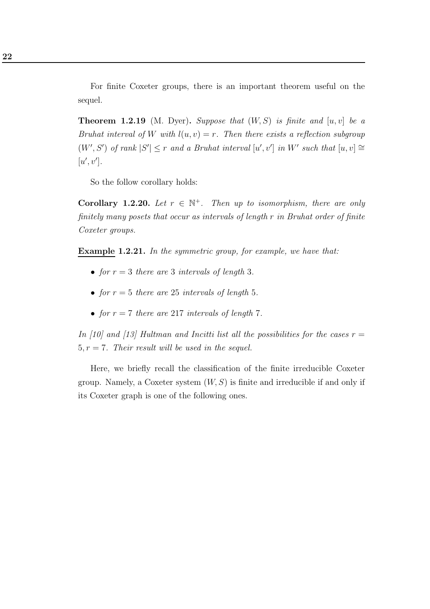For finite Coxeter groups, there is an important theorem useful on the sequel.

**Theorem 1.2.19** (M. Dyer). Suppose that  $(W, S)$  is finite and  $[u, v]$  be a Bruhat interval of W with  $l(u, v) = r$ . Then there exists a reflection subgroup  $(W', S')$  of rank  $|S'| \leq r$  and a Bruhat interval  $[u', v']$  in W' such that  $[u, v] \cong$  $[u', v']$ .

So the follow corollary holds:

**Corollary 1.2.20.** Let  $r \in \mathbb{N}^+$ . Then up to isomorphism, there are only finitely many posets that occur as intervals of length r in Bruhat order of finite Coxeter groups.

Example 1.2.21. In the symmetric group, for example, we have that:

- for  $r = 3$  there are 3 intervals of length 3.
- for  $r = 5$  there are 25 intervals of length 5.
- for  $r = 7$  there are 217 intervals of length 7.

In [10] and [13] Hultman and Incitti list all the possibilities for the cases  $r =$ 5,  $r = 7$ . Their result will be used in the sequel.

Here, we briefly recall the classification of the finite irreducible Coxeter group. Namely, a Coxeter system  $(W, S)$  is finite and irreducible if and only if its Coxeter graph is one of the following ones.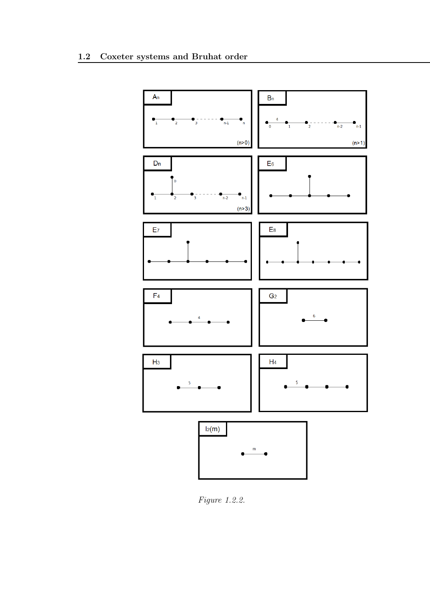

Figure 1.2.2.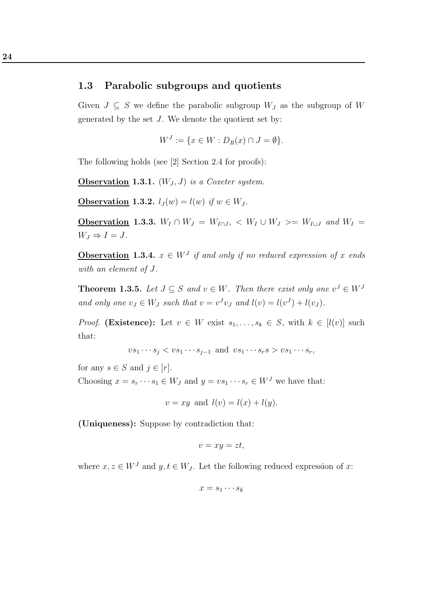#### 1.3 Parabolic subgroups and quotients

Given  $J \subseteq S$  we define the parabolic subgroup  $W_J$  as the subgroup of W generated by the set J. We denote the quotient set by:

$$
W^J := \{ x \in W : D_R(x) \cap J = \emptyset \}.
$$

The following holds (see [2] Section 2.4 for proofs):

**Observation 1.3.1.**  $(W_J, J)$  is a Coxeter system.

Observation 1.3.2.  $l_J(w) = l(w)$  if  $w \in W_J$ .

Observation 1.3.3.  $W_I \cap W_J = W_{I \cap J}$ ,  $\langle W_I \cup W_J \rangle = W_{I \cup J}$  and  $W_I =$  $W_J \Rightarrow I = J.$ 

**Observation** 1.3.4.  $x \in W<sup>J</sup>$  if and only if no reduced expression of x ends with an element of J.

**Theorem 1.3.5.** Let  $J \subseteq S$  and  $v \in W$ . Then there exist only one  $v^J \in W^J$ and only one  $v_J \in W_J$  such that  $v = v^J v_J$  and  $l(v) = l(v^J) + l(v_J)$ .

*Proof.* (Existence): Let  $v \in W$  exist  $s_1, \ldots, s_k \in S$ , with  $k \in [l(v)]$  such that:

$$
vs_1\cdots s_j < vs_1\cdots s_{j-1} \text{ and } vs_1\cdots s_{r} s > vs_1\cdots s_{r},
$$

for any  $s \in S$  and  $j \in [r]$ .

Choosing  $x = s_r \cdots s_1 \in W_J$  and  $y = vs_1 \cdots s_r \in W^J$  we have that:

$$
v = xy
$$
 and  $l(v) = l(x) + l(y)$ .

(Uniqueness): Suppose by contradiction that:

$$
v = xy = zt,
$$

where  $x, z \in W<sup>J</sup>$  and  $y, t \in W<sub>J</sub>$ . Let the following reduced expression of x:

$$
x = s_1 \cdots s_k
$$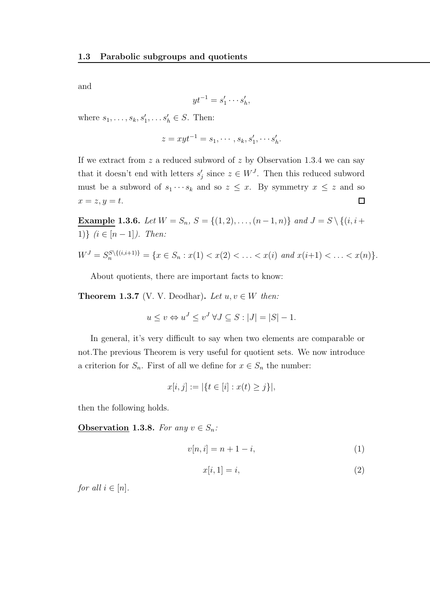and

$$
yt^{-1} = s'_1 \cdots s'_h
$$

,

where  $s_1, ..., s_k, s'_1, ..., s'_h \in S$ . Then:

$$
z = xyt^{-1} = s_1, \cdots, s_k, s'_1, \cdots s'_h.
$$

If we extract from  $z$  a reduced subword of  $z$  by Observation 1.3.4 we can say that it doesn't end with letters  $s'_j$  since  $z \in W^J$ . Then this reduced subword must be a subword of  $s_1 \cdots s_k$  and so  $z \leq x$ . By symmetry  $x \leq z$  and so  $x = z, y = t.$  $\Box$ 

Example 1.3.6. Let  $W = S_n$ ,  $S = \{(1, 2), \ldots, (n-1, n)\}$  and  $J = S \setminus \{(i, i +$ 1)}  $(i \in [n-1])$ . Then:

$$
W^{J} = S_{n}^{S \setminus \{(i,i+1)\}} = \{x \in S_{n} : x(1) < x(2) < \ldots < x(i) \text{ and } x(i+1) < \ldots < x(n)\}.
$$

About quotients, there are important facts to know:

**Theorem 1.3.7** (V. V. Deodhar). Let  $u, v \in W$  then:

$$
u \le v \Leftrightarrow u^J \le v^J \,\forall J \subseteq S : |J| = |S| - 1.
$$

In general, it's very difficult to say when two elements are comparable or not.The previous Theorem is very useful for quotient sets. We now introduce a criterion for  $S_n$ . First of all we define for  $x \in S_n$  the number:

$$
x[i, j] := |\{t \in [i] : x(t) \ge j\}|,
$$

then the following holds.

**Observation 1.3.8.** For any  $v \in S_n$ :

$$
v[n,i] = n+1-i,\tag{1}
$$

$$
x[i, 1] = i,\t\t(2)
$$

for all  $i \in [n]$ .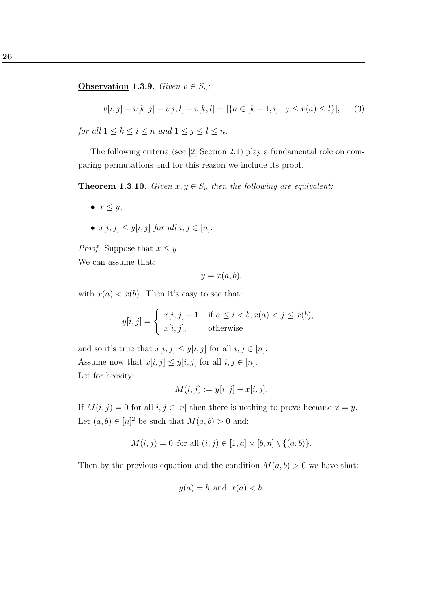**Observation 1.3.9.** Given  $v \in S_n$ :

$$
v[i,j] - v[k,j] - v[i,l] + v[k,l] = |\{a \in [k+1,i] : j \le v(a) \le l\}|,\tag{3}
$$

for all  $1 \leq k \leq i \leq n$  and  $1 \leq j \leq l \leq n$ .

The following criteria (see [2] Section 2.1) play a fundamental role on comparing permutations and for this reason we include its proof.

**Theorem 1.3.10.** Given  $x, y \in S_n$  then the following are equivalent:

- $x \leq y$ ,
- $x[i, j] \leq y[i, j]$  for all  $i, j \in [n]$ .

*Proof.* Suppose that  $x \leq y$ .

We can assume that:

$$
y = x(a, b),
$$

with  $x(a) < x(b)$ . Then it's easy to see that:

$$
y[i,j] = \begin{cases} x[i,j] + 1, & \text{if } a \le i < b, x(a) < j \le x(b), \\ x[i,j], & \text{otherwise} \end{cases}
$$

and so it's true that  $x[i, j] \le y[i, j]$  for all  $i, j \in [n]$ . Assume now that  $x[i, j] \leq y[i, j]$  for all  $i, j \in [n]$ . Let for brevity:

$$
M(i,j) := y[i,j] - x[i,j].
$$

If  $M(i, j) = 0$  for all  $i, j \in [n]$  then there is nothing to prove because  $x = y$ . Let  $(a, b) \in [n]^2$  be such that  $M(a, b) > 0$  and:

$$
M(i, j) = 0
$$
 for all  $(i, j) \in [1, a] \times [b, n] \setminus \{(a, b)\}.$ 

Then by the previous equation and the condition  $M(a, b) > 0$  we have that:

$$
y(a) = b \text{ and } x(a) < b.
$$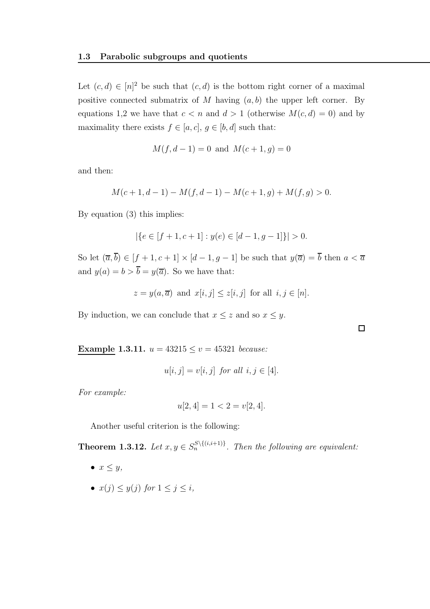Let  $(c, d) \in [n]^2$  be such that  $(c, d)$  is the bottom right corner of a maximal positive connected submatrix of M having  $(a, b)$  the upper left corner. By equations 1,2 we have that  $c < n$  and  $d > 1$  (otherwise  $M(c, d) = 0$ ) and by maximality there exists  $f \in [a, c]$ ,  $g \in [b, d]$  such that:

$$
M(f, d-1) = 0
$$
 and  $M(c+1, g) = 0$ 

and then:

$$
M(c+1, d-1) - M(f, d-1) - M(c+1, g) + M(f, g) > 0.
$$

By equation (3) this implies:

$$
|\{e \in [f+1, c+1] : y(e) \in [d-1, g-1]\}| > 0.
$$

So let  $(\overline{a}, \overline{b}) \in [f + 1, c + 1] \times [d - 1, g - 1]$  be such that  $y(\overline{a}) = \overline{b}$  then  $a < \overline{a}$ and  $y(a) = b > \overline{b} = y(\overline{a})$ . So we have that:

$$
z = y(a, \overline{a})
$$
 and  $x[i, j] \leq z[i, j]$  for all  $i, j \in [n]$ .

 $\Box$ 

By induction, we can conclude that  $x \leq z$  and so  $x \leq y$ .

Example 1.3.11.  $u = 43215 \le v = 45321$  because:

$$
u[i,j] = v[i,j] \text{ for all } i,j \in [4].
$$

For example:

$$
u[2,4] = 1 < 2 = v[2,4].
$$

Another useful criterion is the following:

**Theorem 1.3.12.** Let  $x, y \in S_n^{S \setminus \{(i,i+1)\}}$ . Then the following are equivalent:

- $x \leq y$ ,
- $x(j) \leq y(j)$  for  $1 \leq j \leq i$ ,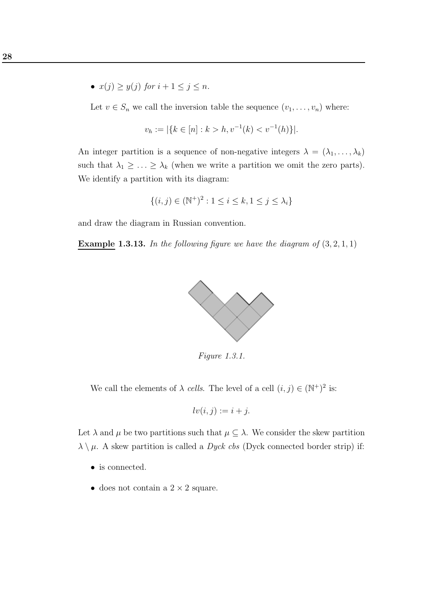•  $x(j) \geq y(j)$  for  $i + 1 \leq j \leq n$ .

Let  $v \in S_n$  we call the inversion table the sequence  $(v_1, \ldots, v_n)$  where:

$$
v_h := |\{k \in [n] : k > h, v^{-1}(k) < v^{-1}(h)\}|.
$$

An integer partition is a sequence of non-negative integers  $\lambda = (\lambda_1, \ldots, \lambda_k)$ such that  $\lambda_1 \geq \ldots \geq \lambda_k$  (when we write a partition we omit the zero parts). We identify a partition with its diagram:

$$
\{(i,j) \in (\mathbb{N}^+)^2 : 1 \le i \le k, 1 \le j \le \lambda_i\}
$$

and draw the diagram in Russian convention.

**Example 1.3.13.** In the following figure we have the diagram of  $(3, 2, 1, 1)$ 



Figure 1.3.1.

We call the elements of  $\lambda$  cells. The level of a cell  $(i, j) \in (\mathbb{N}^+)^2$  is:

$$
lv(i,j) := i + j.
$$

Let  $\lambda$  and  $\mu$  be two partitions such that  $\mu \subseteq \lambda$ . We consider the skew partition  $\lambda \setminus \mu$ . A skew partition is called a *Dyck cbs* (Dyck connected border strip) if:

- is connected.
- does not contain a  $2 \times 2$  square.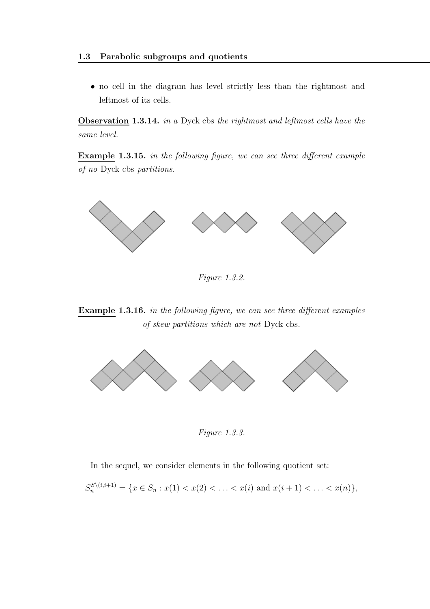• no cell in the diagram has level strictly less than the rightmost and leftmost of its cells.

Observation 1.3.14. in a Dyck cbs the rightmost and leftmost cells have the same level.

Example 1.3.15. in the following figure, we can see three different example of no Dyck cbs partitions.



Figure 1.3.2.

Example 1.3.16. in the following figure, we can see three different examples of skew partitions which are not Dyck cbs.



Figure 1.3.3.

In the sequel, we consider elements in the following quotient set:

$$
S_n^{S\setminus(i,i+1)} = \{x \in S_n : x(1) < x(2) < \ldots < x(i) \text{ and } x(i+1) < \ldots < x(n)\},
$$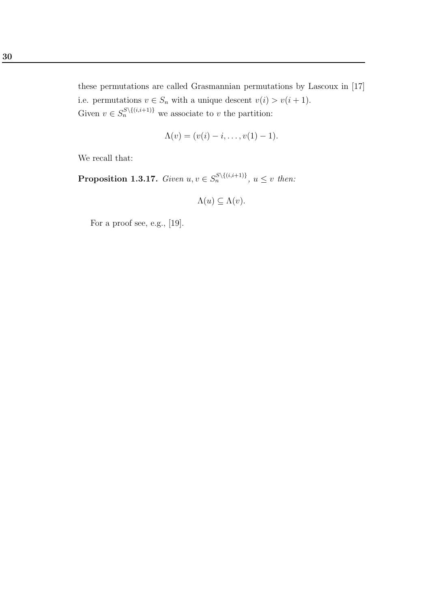these permutations are called Grasmannian permutations by Lascoux in [17] i.e. permutations  $v \in S_n$  with a unique descent  $v(i) > v(i + 1)$ . Given  $v \in S_n^{S \setminus \{(i,i+1)\}}$  we associate to v the partition:

$$
\Lambda(v) = (v(i) - i, \dots, v(1) - 1).
$$

We recall that:

**Proposition 1.3.17.** Given  $u, v \in S_n^{S \setminus \{(i,i+1)\}}$ ,  $u \leq v$  then:

$$
\Lambda(u) \subseteq \Lambda(v).
$$

For a proof see, e.g., [19].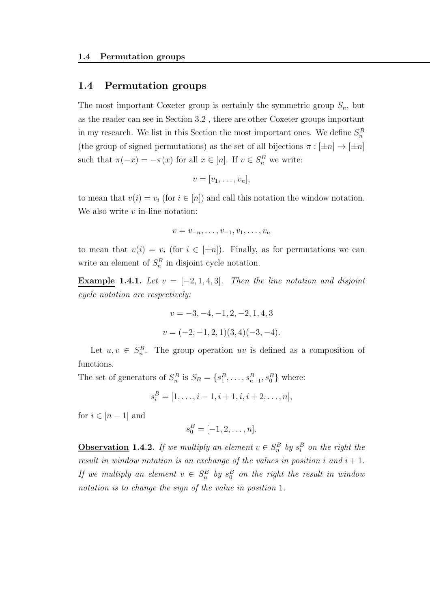#### 1.4 Permutation groups

The most important Coxeter group is certainly the symmetric group  $S_n$ , but as the reader can see in Section 3.2 , there are other Coxeter groups important in my research. We list in this Section the most important ones. We define  $S_n^B$ (the group of signed permutations) as the set of all bijections  $\pi : [\pm n] \to [\pm n]$ such that  $\pi(-x) = -\pi(x)$  for all  $x \in [n]$ . If  $v \in S_n^B$  we write:

$$
v=[v_1,\ldots,v_n],
$$

to mean that  $v(i) = v_i$  (for  $i \in [n]$ ) and call this notation the window notation. We also write  $v$  in-line notation:

$$
v=v_{-n},\ldots,v_{-1},v_1,\ldots,v_n
$$

to mean that  $v(i) = v_i$  (for  $i \in [\pm n]$ ). Finally, as for permutations we can write an element of  $S_n^B$  in disjoint cycle notation.

Example 1.4.1. Let  $v = [-2, 1, 4, 3]$ . Then the line notation and disjoint cycle notation are respectively:

$$
v = -3, -4, -1, 2, -2, 1, 4, 3
$$

$$
v = (-2, -1, 2, 1)(3, 4)(-3, -4).
$$

Let  $u, v \in S_n^B$ . The group operation uv is defined as a composition of functions.

The set of generators of  $S_n^B$  is  $S_B = \{s_1^B, \ldots, s_{n-1}^B, s_0^B\}$  where:

$$
s_i^B = [1, \dots, i-1, i+1, i, i+2, \dots, n],
$$

for  $i \in [n-1]$  and

$$
s_0^B = [-1, 2, \dots, n].
$$

**Observation 1.4.2.** If we multiply an element  $v \in S_n^B$  by  $s_i^B$  on the right the result in window notation is an exchange of the values in position i and  $i + 1$ . If we multiply an element  $v \in S_n^B$  by  $s_0^B$  on the right the result in window notation is to change the sign of the value in position 1.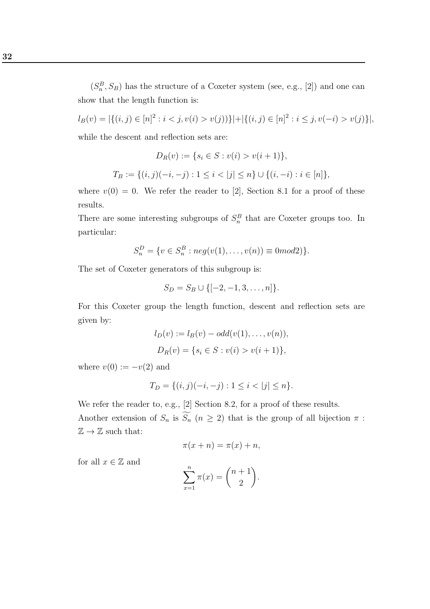$(S_n^B, S_B)$  has the structure of a Coxeter system (see, e.g., [2]) and one can show that the length function is:

 $l_B(v) = |\{(i, j) \in [n]^2 : i < j, v(i) > v(j)\}| + |\{(i, j) \in [n]^2 : i \le j, v(-i) > v(j)\}|,$ while the descent and reflection sets are:

$$
D_R(v) := \{ s_i \in S : v(i) > v(i+1) \},
$$
  
\n
$$
T_B := \{ (i, j)(-i, -j) : 1 \le i < |j| \le n \} \cup \{ (i, -i) : i \in [n] \},
$$

where  $v(0) = 0$ . We refer the reader to [2], Section 8.1 for a proof of these results.

There are some interesting subgroups of  $S_n^B$  that are Coxeter groups too. In particular:

$$
S_n^D = \{ v \in S_n^B : neg(v(1), \dots, v(n)) \equiv 0 \mod 2 \}.
$$

The set of Coxeter generators of this subgroup is:

$$
S_D = S_B \cup \{[-2, -1, 3, \dots, n]\}.
$$

For this Coxeter group the length function, descent and reflection sets are given by:

$$
l_D(v) := l_B(v) - odd(v(1), \dots, v(n)),
$$
  
\n
$$
D_R(v) = \{s_i \in S : v(i) > v(i+1)\},\
$$

where  $v(0) := -v(2)$  and

$$
T_D = \{(i, j)(-i, -j) : 1 \le i < |j| \le n\}.
$$

We refer the reader to, e.g., [2] Section 8.2, for a proof of these results. Another extension of  $S_n$  is  $\widetilde{S_n}$   $(n \geq 2)$  that is the group of all bijection  $\pi$ :  $\mathbb{Z} \to \mathbb{Z}$  such that:

$$
\pi(x+n) = \pi(x) + n,
$$

for all  $x \in \mathbb{Z}$  and

$$
\sum_{x=1}^{n} \pi(x) = \binom{n+1}{2}.
$$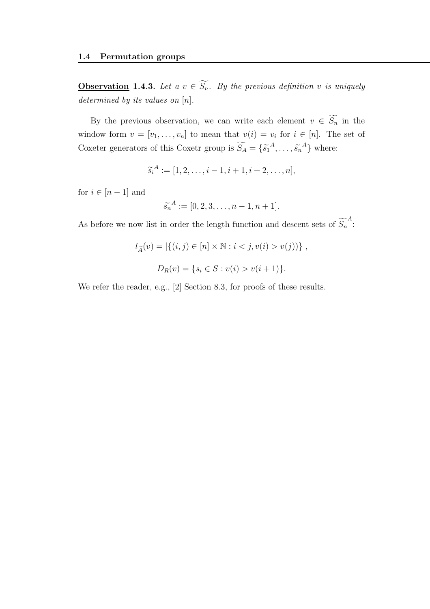**Observation** 1.4.3. Let a  $v \in \widetilde{S_n}$ . By the previous definition v is uniquely determined by its values on  $[n]$ .

By the previous observation, we can write each element  $v \in \widetilde{S_n}$  in the window form  $v = [v_1, \ldots, v_n]$  to mean that  $v(i) = v_i$  for  $i \in [n]$ . The set of Coxeter generators of this Coxetr group is  $\widetilde{S}_A = \{\widetilde{s_1}^A, \ldots, \widetilde{s_n}^A\}$  where:

$$
\widetilde{s_i}^A := [1, 2, \dots, i-1, i+1, i+2, \dots, n],
$$

for  $i \in [n-1]$  and

$$
\widetilde{s_n}^A := [0, 2, 3, \dots, n-1, n+1].
$$

As before we now list in order the length function and descent sets of  $\widetilde{S_n}^A$ :

$$
l_{\tilde{A}}(v) = |\{(i, j) \in [n] \times \mathbb{N} : i < j, v(i) > v(j)\}\}|,
$$
  

$$
D_R(v) = \{s_i \in S : v(i) > v(i+1)\}.
$$

We refer the reader, e.g., [2] Section 8.3, for proofs of these results.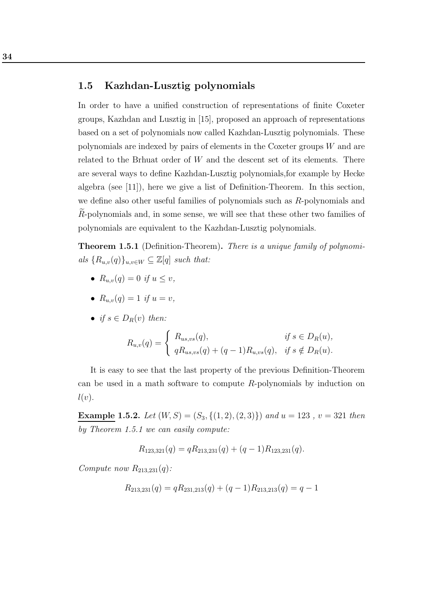#### 1.5 Kazhdan-Lusztig polynomials

In order to have a unified construction of representations of finite Coxeter groups, Kazhdan and Lusztig in [15], proposed an approach of representations based on a set of polynomials now called Kazhdan-Lusztig polynomials. These polynomials are indexed by pairs of elements in the Coxeter groups W and are related to the Brhuat order of W and the descent set of its elements. There are several ways to define Kazhdan-Lusztig polynomials,for example by Hecke algebra (see [11]), here we give a list of Definition-Theorem. In this section, we define also other useful families of polynomials such as R-polynomials and Re-polynomials and, in some sense, we will see that these other two families of polynomials are equivalent to the Kazhdan-Lusztig polynomials.

Theorem 1.5.1 (Definition-Theorem). There is a unique family of polynomials  ${R_{u,v}(q)}_{u,v \in W} \subseteq \mathbb{Z}[q]$  such that:

- $R_{u,v}(q) = 0$  if  $u \le v$ ,
- $R_{u,v}(q) = 1$  if  $u = v$ ,
- if  $s \in D_R(v)$  then:

$$
R_{u,v}(q) = \begin{cases} R_{us,vs}(q), & \text{if } s \in D_R(u), \\ qR_{us,vs}(q) + (q-1)R_{u,vs}(q), & \text{if } s \notin D_R(u). \end{cases}
$$

It is easy to see that the last property of the previous Definition-Theorem can be used in a math software to compute  $R$ -polynomials by induction on  $l(v).$ 

**Example 1.5.2.** Let  $(W, S) = (S_3, \{(1, 2), (2, 3)\})$  and  $u = 123$ ,  $v = 321$  then by Theorem 1.5.1 we can easily compute:

$$
R_{123,321}(q) = qR_{213,231}(q) + (q-1)R_{123,231}(q).
$$

Compute now  $R_{213,231}(q)$ :

$$
R_{213,231}(q) = qR_{231,213}(q) + (q-1)R_{213,213}(q) = q-1
$$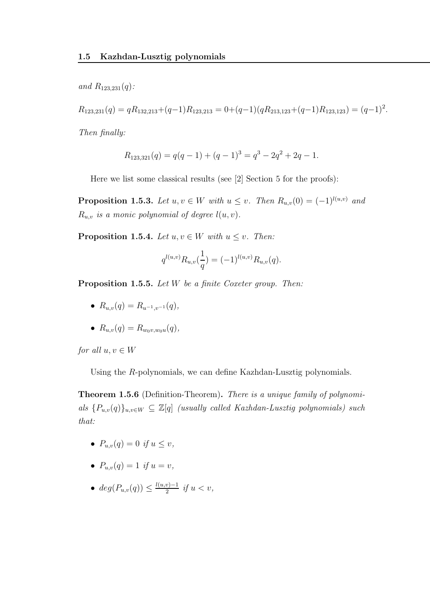and  $R_{123,231}(q)$ :

$$
R_{123,231}(q) = qR_{132,213} + (q-1)R_{123,213} = 0 + (q-1)(qR_{213,123} + (q-1)R_{123,123}) = (q-1)^2.
$$

Then finally:

$$
R_{123,321}(q) = q(q-1) + (q-1)^3 = q^3 - 2q^2 + 2q - 1.
$$

Here we list some classical results (see [2] Section 5 for the proofs):

**Proposition 1.5.3.** Let  $u, v \in W$  with  $u \leq v$ . Then  $R_{u,v}(0) = (-1)^{l(u,v)}$  and  $R_{u,v}$  is a monic polynomial of degree  $l(u,v)$ .

**Proposition 1.5.4.** Let  $u, v \in W$  with  $u \leq v$ . Then:

$$
q^{l(u,v)} R_{u,v}(\frac{1}{q}) = (-1)^{l(u,v)} R_{u,v}(q).
$$

Proposition 1.5.5. Let W be a finite Coxeter group. Then:

- $R_{u,v}(q) = R_{u^{-1},v^{-1}}(q),$
- $R_{u,v}(q) = R_{w_0v,w_0u}(q)$ ,

for all  $u, v \in W$ 

Using the R-polynomials, we can define Kazhdan-Lusztig polynomials.

Theorem 1.5.6 (Definition-Theorem). There is a unique family of polynomials  $\{P_{u,v}(q)\}_{u,v\in W}\subseteq \mathbb{Z}[q]$  (usually called Kazhdan-Lusztig polynomials) such that:

- $P_{u,v}(q) = 0$  if  $u \le v$ ,
- $P_{u,v}(q) = 1$  if  $u = v$ ,
- $\bullet \hspace{0.1cm} deg(P_{u,v}(q)) \leq \frac{l(u,v)-1}{2}$  $\frac{v}{2}$  if  $u < v$ ,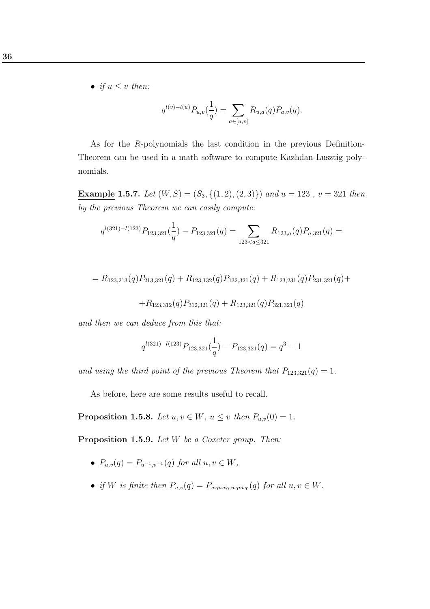• if  $u \leq v$  then:

$$
q^{l(v)-l(u)}P_{u,v}(\frac{1}{q}) = \sum_{a \in [u,v]} R_{u,a}(q)P_{a,v}(q).
$$

As for the R-polynomials the last condition in the previous Definition-Theorem can be used in a math software to compute Kazhdan-Lusztig polynomials.

Example 1.5.7. Let  $(W, S) = (S_3, \{(1, 2), (2, 3)\})$  and  $u = 123$ ,  $v = 321$  then by the previous Theorem we can easily compute:

$$
q^{l(321)-l(123)}P_{123,321}(\frac{1}{q})-P_{123,321}(q)=\sum_{123
$$

$$
= R_{123,213}(q)P_{213,321}(q) + R_{123,132}(q)P_{132,321}(q) + R_{123,231}(q)P_{231,321}(q) +
$$

 $+R_{123,312}(q)P_{312,321}(q) + R_{123,321}(q)P_{321,321}(q)$ 

and then we can deduce from this that:

$$
q^{l(321)-l(123)}P_{123,321}(\frac{1}{q})-P_{123,321}(q)=q^3-1
$$

and using the third point of the previous Theorem that  $P_{123,321}(q) = 1$ .

As before, here are some results useful to recall.

**Proposition 1.5.8.** Let  $u, v \in W$ ,  $u \leq v$  then  $P_{u,v}(0) = 1$ .

Proposition 1.5.9. Let W be a Coxeter group. Then:

- $P_{u,v}(q) = P_{u^{-1},v^{-1}}(q)$  for all  $u, v \in W$ ,
- if W is finite then  $P_{u,v}(q) = P_{w_0uw_0,w_0vw_0}(q)$  for all  $u, v \in W$ .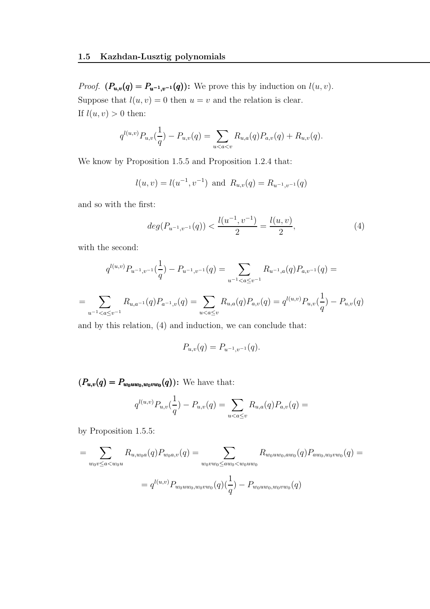*Proof.*  $(P_{u,v}(q) = P_{u^{-1},v^{-1}}(q))$ : We prove this by induction on  $l(u, v)$ . Suppose that  $l(u, v) = 0$  then  $u = v$  and the relation is clear. If  $l(u, v) > 0$  then:

$$
q^{l(u,v)}P_{u,v}(\frac{1}{q})-P_{u,v}(q)=\sum_{u
$$

We know by Proposition 1.5.5 and Proposition 1.2.4 that:

$$
l(u, v) = l(u^{-1}, v^{-1})
$$
 and  $R_{u,v}(q) = R_{u^{-1}, v^{-1}}(q)$ 

and so with the first:

$$
deg(P_{u^{-1},v^{-1}}(q)) < \frac{l(u^{-1},v^{-1})}{2} = \frac{l(u,v)}{2},
$$
\n(4)

with the second:

=

$$
q^{l(u,v)}P_{u^{-1},v^{-1}}(\frac{1}{q}) - P_{u^{-1},v^{-1}}(q) = \sum_{u^{-1} < a \le v^{-1}} R_{u^{-1},a}(q)P_{a,v^{-1}}(q) = \sum_{u^{-1} < a \le v} R_{u,a}(q)P_{a,v}(q) = q^{l(u,v)}P_{u,v}(\frac{1}{q}) - P_{u,v}(q)
$$

and by this relation, (4) and induction, we can conclude that:

$$
P_{u,v}(q) = P_{u^{-1},v^{-1}}(q).
$$

 $(P_{u,v}(q) = P_{w_0uw_0, w_0vw_0}(q))$ : We have that:

$$
q^{l(u,v)}P_{u,v}(\frac{1}{q})-P_{u,v}(q)=\sum_{u
$$

by Proposition 1.5.5:

$$
= \sum_{w_0v \le a < w_0u} R_{u,w_0a}(q) P_{w_0a,v}(q) = \sum_{w_0vw_0 \le aw_0 < w_0uw_0} R_{w_0uw_0,aw_0}(q) P_{aw_0,w_0vw_0}(q) =
$$
  

$$
= q^{l(u,v)} P_{w_0uw_0,w_0vw_0}(q) \left(\frac{1}{q}\right) - P_{w_0uw_0,w_0vw_0}(q)
$$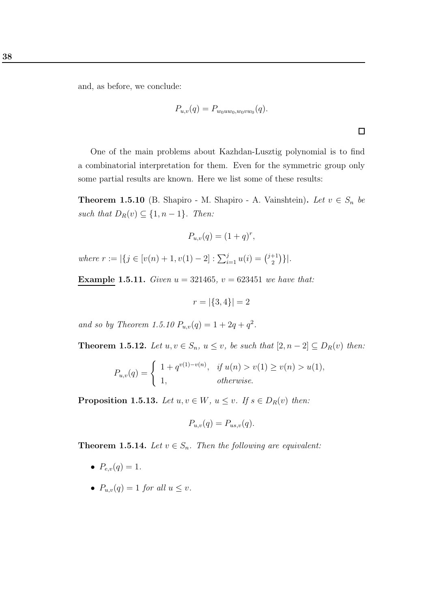and, as before, we conclude:

$$
P_{u,v}(q) = P_{w_0uw_0, w_0vw_0}(q).
$$

 $\Box$ 

One of the main problems about Kazhdan-Lusztig polynomial is to find a combinatorial interpretation for them. Even for the symmetric group only some partial results are known. Here we list some of these results:

**Theorem 1.5.10** (B. Shapiro - M. Shapiro - A. Vainshtein). Let  $v \in S_n$  be such that  $D_R(v) \subseteq \{1, n-1\}$ . Then:

$$
P_{u,v}(q) = (1+q)^r,
$$

where  $r := |\{j \in [v(n) + 1, v(1) - 2] : \sum_{i=1}^{j} u(i) = {\binom{j+1}{2}}\}$  $\binom{+1}{2}$  }|.

**Example 1.5.11.** Given  $u = 321465$ ,  $v = 623451$  we have that:

$$
r = |\{3, 4\}| = 2
$$

and so by Theorem 1.5.10  $P_{u,v}(q) = 1 + 2q + q^2$ .

**Theorem 1.5.12.** Let  $u, v \in S_n$ ,  $u \le v$ , be such that  $[2, n-2] \subseteq D_R(v)$  then:

$$
P_{u,v}(q) = \begin{cases} 1 + q^{v(1)-v(n)}, & \text{if } u(n) > v(1) \ge v(n) > u(1), \\ 1, & \text{otherwise.} \end{cases}
$$

**Proposition 1.5.13.** Let  $u, v \in W$ ,  $u \leq v$ . If  $s \in D_R(v)$  then:

$$
P_{u,v}(q) = P_{us,v}(q).
$$

**Theorem 1.5.14.** Let  $v \in S_n$ . Then the following are equivalent:

- $P_{e,v}(q) = 1$ .
- $P_{u,v}(q) = 1$  for all  $u \leq v$ .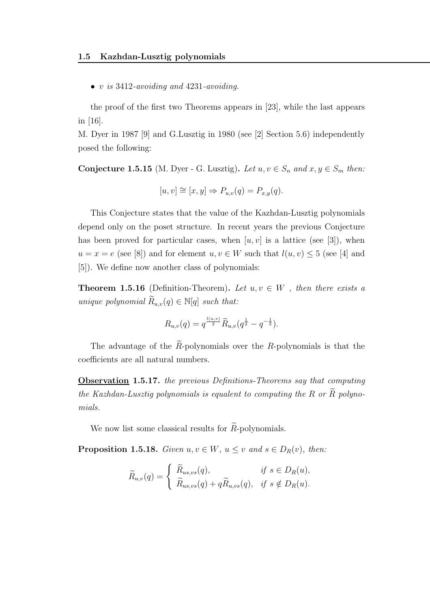• v is  $3412$ -avoiding and  $4231$ -avoiding.

the proof of the first two Theorems appears in [23], while the last appears in [16].

M. Dyer in 1987 [9] and G.Lusztig in 1980 (see [2] Section 5.6) independently posed the following:

Conjecture 1.5.15 (M. Dyer - G. Lusztig). Let  $u, v \in S_n$  and  $x, y \in S_m$  then:

$$
[u, v] \cong [x, y] \Rightarrow P_{u,v}(q) = P_{x,y}(q).
$$

This Conjecture states that the value of the Kazhdan-Lusztig polynomials depend only on the poset structure. In recent years the previous Conjecture has been proved for particular cases, when  $[u, v]$  is a lattice (see [3]), when  $u = x = e$  (see [8]) and for element  $u, v \in W$  such that  $l(u, v) \leq 5$  (see [4] and [5]). We define now another class of polynomials:

**Theorem 1.5.16** (Definition-Theorem). Let  $u, v \in W$ , then there exists a unique polynomial  $\widetilde{R}_{u,v}(q) \in \mathbb{N}[q]$  such that:

$$
R_{u,v}(q) = q^{\frac{l(u,v)}{2}} \widetilde{R}_{u,v}(q^{\frac{1}{2}} - q^{-\frac{1}{2}}).
$$

The advantage of the  $\widetilde{R}$ -polynomials over the R-polynomials is that the coefficients are all natural numbers.

Observation 1.5.17. the previous Definitions-Theorems say that computing the Kazhdan-Lusztig polynomials is equalent to computing the  $R$  or  $\overline{R}$  polynomials.

We now list some classical results for  $\widetilde{R}$ -polynomials.

**Proposition 1.5.18.** Given  $u, v \in W$ ,  $u \leq v$  and  $s \in D_R(v)$ , then:

$$
\widetilde{R}_{u,v}(q) = \begin{cases}\n\widetilde{R}_{us,vs}(q), & \text{if } s \in D_R(u), \\
\widetilde{R}_{us,vs}(q) + q \widetilde{R}_{u,vs}(q), & \text{if } s \notin D_R(u).\n\end{cases}
$$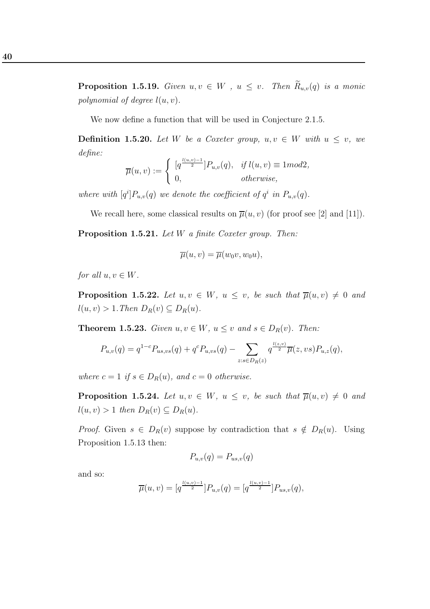**Proposition 1.5.19.** Given  $u, v \in W$ ,  $u \leq v$ . Then  $\widetilde{R}_{u,v}(q)$  is a monic polynomial of degree  $l(u, v)$ .

We now define a function that will be used in Conjecture 2.1.5.

**Definition 1.5.20.** Let W be a Coxeter group,  $u, v \in W$  with  $u \leq v$ , we define:

$$
\overline{\mu}(u,v) := \begin{cases} [q^{\frac{l(u,v)-1}{2}}]P_{u,v}(q), & \text{if } l(u,v) \equiv 1 \text{mod} 2, \\ 0, & \text{otherwise}, \end{cases}
$$

where with  $[q^i]P_{u,v}(q)$  we denote the coefficient of  $q^i$  in  $P_{u,v}(q)$ .

We recall here, some classical results on  $\overline{\mu}(u, v)$  (for proof see [2] and [11]).

Proposition 1.5.21. Let W a finite Coxeter group. Then:

$$
\overline{\mu}(u,v) = \overline{\mu}(w_0v,w_0u),
$$

for all  $u, v \in W$ .

**Proposition 1.5.22.** Let  $u, v \in W$ ,  $u \leq v$ , be such that  $\overline{\mu}(u, v) \neq 0$  and  $l(u, v) > 1$ . Then  $D_R(v) \subseteq D_R(u)$ .

**Theorem 1.5.23.** Given  $u, v \in W$ ,  $u \leq v$  and  $s \in D_R(v)$ . Then:

$$
P_{u,v}(q) = q^{1-c} P_{us,vs}(q) + q^c P_{u,vs}(q) - \sum_{z:s \in D_R(z)} q^{\frac{l(z,v)}{2}} \overline{\mu}(z, vs) P_{u,z}(q),
$$

where  $c = 1$  if  $s \in D_R(u)$ , and  $c = 0$  otherwise.

**Proposition 1.5.24.** Let  $u, v \in W$ ,  $u \leq v$ , be such that  $\overline{\mu}(u, v) \neq 0$  and  $l(u, v) > 1$  then  $D_R(v) \subseteq D_R(u)$ .

*Proof.* Given  $s \in D_R(v)$  suppose by contradiction that  $s \notin D_R(u)$ . Using Proposition 1.5.13 then:

$$
P_{u,v}(q) = P_{us,v}(q)
$$

and so:

$$
\overline{\mu}(u,v) = [q^{\frac{l(u,v)-1}{2}}]P_{u,v}(q) = [q^{\frac{l(u,v)-1}{2}}]P_{us,v}(q),
$$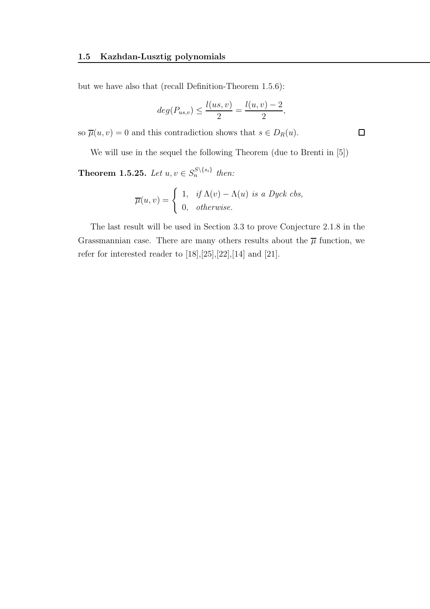but we have also that (recall Definition-Theorem 1.5.6):

$$
deg(P_{us,v}) \leq \frac{l(us,v)}{2} = \frac{l(u,v)-2}{2},
$$

so  $\overline{\mu}(u, v) = 0$  and this contradiction shows that  $s \in D_R(u)$ .

We will use in the sequel the following Theorem (due to Brenti in [5])

**Theorem 1.5.25.** Let  $u, v \in S_n^{S \setminus \{s_i\}}$  then:

$$
\overline{\mu}(u,v) = \begin{cases} 1, & \text{if } \Lambda(v) - \Lambda(u) \text{ is a Dyck} \text{ } cbs, \\ 0, & \text{otherwise.} \end{cases}
$$

The last result will be used in Section 3.3 to prove Conjecture 2.1.8 in the Grassmannian case. There are many others results about the  $\overline{\mu}$  function, we refer for interested reader to  $[18],[25],[22],[14]$  and  $[21]$ .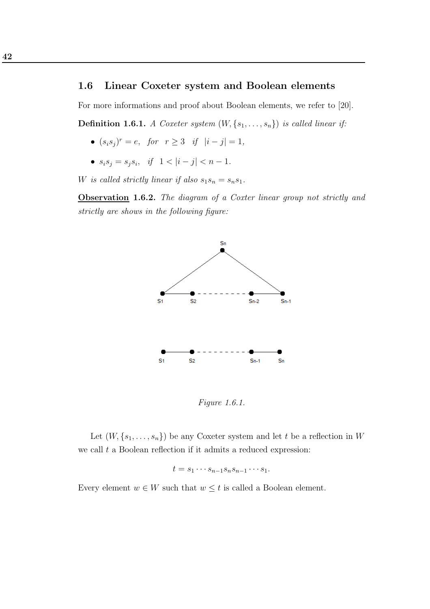#### 1.6 Linear Coxeter system and Boolean elements

For more informations and proof about Boolean elements, we refer to [20].

**Definition 1.6.1.** A Coxeter system  $(W, \{s_1, \ldots, s_n\})$  is called linear if:

- $(s_i s_j)^r = e$ , for  $r \ge 3$  if  $|i j| = 1$ ,
- $s_i s_j = s_j s_i$ , if  $1 < |i j| < n 1$ .

W is called strictly linear if also  $s_1s_n = s_ns_1$ .

Observation 1.6.2. The diagram of a Coxter linear group not strictly and strictly are shows in the following figure:



Figure 1.6.1.

Let  $(W, \{s_1, \ldots, s_n\})$  be any Coxeter system and let t be a reflection in W we call  $t$  a Boolean reflection if it admits a reduced expression:

$$
t = s_1 \cdots s_{n-1} s_n s_{n-1} \cdots s_1.
$$

Every element  $w \in W$  such that  $w \leq t$  is called a Boolean element.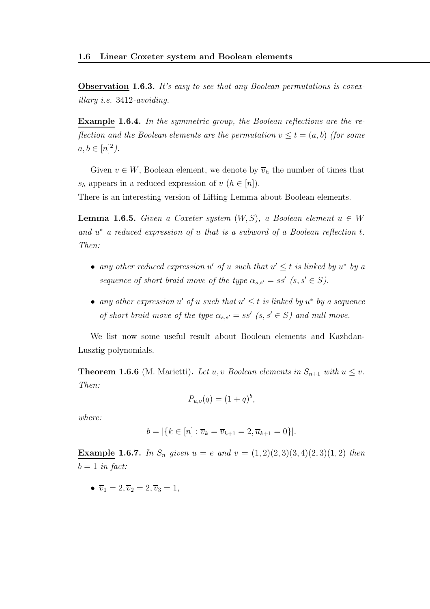**Observation 1.6.3.** It's easy to see that any Boolean permutations is covexillary i.e. 3412-avoiding.

Example 1.6.4. In the symmetric group, the Boolean reflections are the reflection and the Boolean elements are the permutation  $v \le t = (a, b)$  (for some  $a, b \in [n]^2$ ).

Given  $v \in W$ , Boolean element, we denote by  $\overline{v}_h$  the number of times that  $s_h$  appears in a reduced expression of  $v(h \in [n])$ .

There is an interesting version of Lifting Lemma about Boolean elements.

**Lemma 1.6.5.** Given a Coxeter system  $(W, S)$ , a Boolean element  $u \in W$ and  $u^*$  a reduced expression of u that is a subword of a Boolean reflection  $t$ . Then:

- any other reduced expression u' of u such that  $u' \leq t$  is linked by  $u^*$  by a sequence of short braid move of the type  $\alpha_{s,s'} = ss'$   $(s, s' \in S)$ .
- any other expression  $u'$  of u such that  $u' \leq t$  is linked by  $u^*$  by a sequence of short braid move of the type  $\alpha_{s,s'} = ss'$   $(s, s' \in S)$  and null move.

We list now some useful result about Boolean elements and Kazhdan-Lusztig polynomials.

**Theorem 1.6.6** (M. Marietti). Let u, v Boolean elements in  $S_{n+1}$  with  $u \leq v$ . Then:

$$
P_{u,v}(q) = (1+q)^b,
$$

where:

$$
b = |\{k \in [n] : \overline{v}_k = \overline{v}_{k+1} = 2, \overline{u}_{k+1} = 0\}|.
$$

Example 1.6.7. In  $S_n$  given  $u = e$  and  $v = (1, 2)(2, 3)(3, 4)(2, 3)(1, 2)$  then  $b = 1$  in fact:

•  $\overline{v}_1 = 2, \overline{v}_2 = 2, \overline{v}_3 = 1,$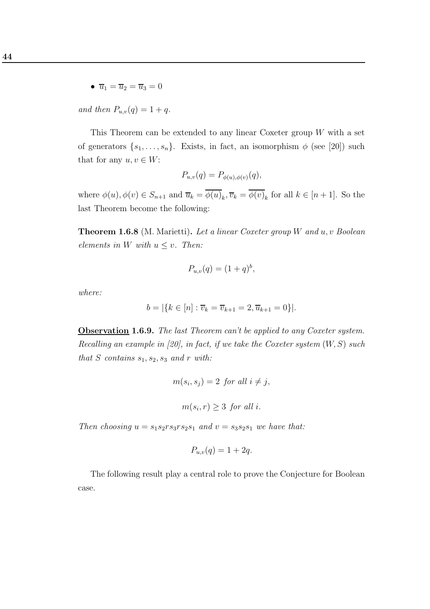•  $\overline{u}_1 = \overline{u}_2 = \overline{u}_3 = 0$ 

and then  $P_{u,v}(q) = 1 + q$ .

This Theorem can be extended to any linear Coxeter group  $W$  with a set of generators  $\{s_1, \ldots, s_n\}$ . Exists, in fact, an isomorphism  $\phi$  (see [20]) such that for any  $u, v \in W$ :

$$
P_{u,v}(q) = P_{\phi(u),\phi(v)}(q),
$$

where  $\phi(u), \phi(v) \in S_{n+1}$  and  $\overline{u}_k = \phi(u)_k, \overline{v}_k = \phi(v)_k$  for all  $k \in [n+1]$ . So the last Theorem become the following:

**Theorem 1.6.8** (M. Marietti). Let a linear Coxeter group W and  $u, v$  Boolean elements in W with  $u \leq v$ . Then:

$$
P_{u,v}(q) = (1+q)^b,
$$

where:

$$
b = |\{k \in [n] : \overline{v}_k = \overline{v}_{k+1} = 2, \overline{u}_{k+1} = 0\}|.
$$

Observation 1.6.9. The last Theorem can't be applied to any Coxeter system. Recalling an example in [20], in fact, if we take the Coxeter system  $(W, S)$  such that S contains  $s_1, s_2, s_3$  and r with:

$$
m(s_i, s_j) = 2 \text{ for all } i \neq j,
$$
  

$$
m(s_i, r) \ge 3 \text{ for all } i.
$$

Then choosing  $u = s_1 s_2 r s_3 r s_2 s_1$  and  $v = s_3 s_2 s_1$  we have that:

$$
P_{u,v}(q) = 1 + 2q.
$$

The following result play a central role to prove the Conjecture for Boolean case.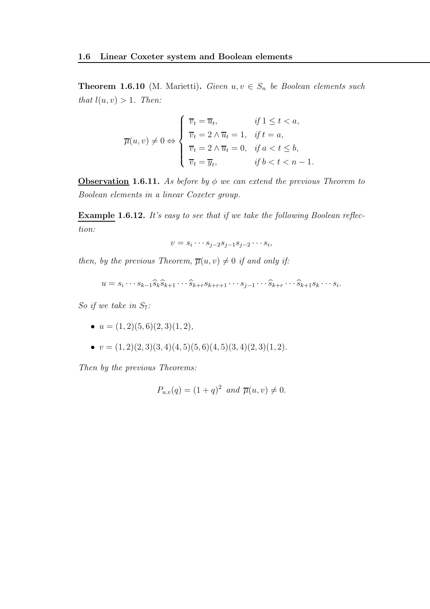**Theorem 1.6.10** (M. Marietti). Given  $u, v \in S_n$  be Boolean elements such that  $l(u, v) > 1$ . Then:

$$
\overline{\mu}(u,v) \neq 0 \Leftrightarrow \begin{cases} \overline{v}_t = \overline{u}_t, & \text{if } 1 \leq t < a, \\ \overline{v}_t = 2 \land \overline{u}_t = 1, & \text{if } t = a, \\ \overline{v}_t = 2 \land \overline{u}_t = 0, & \text{if } a < t \leq b, \\ \overline{v}_t = \overline{y}_t, & \text{if } b < t < n - 1. \end{cases}
$$

**Observation 1.6.11.** As before by  $\phi$  we can extend the previous Theorem to Boolean elements in a linear Coxeter group.

Example 1.6.12. It's easy to see that if we take the following Boolean reflection:

$$
v = s_i \cdots s_{j-2} s_{j-1} s_{j-2} \cdots s_i,
$$

then, by the previous Theorem,  $\overline{\mu}(u, v) \neq 0$  if and only if:

$$
u = s_i \cdots s_{k-1} \widehat{s}_k \widehat{s}_{k+1} \cdots \widehat{s}_{k+r} s_{k+r+1} \cdots s_{j-1} \cdots \widehat{s}_{k+r} \cdots \widehat{s}_{k+1} s_k \cdots s_i.
$$

So if we take in  $S_7$ :

- $u = (1, 2)(5, 6)(2, 3)(1, 2),$
- $v = (1, 2)(2, 3)(3, 4)(4, 5)(5, 6)(4, 5)(3, 4)(2, 3)(1, 2).$

Then by the previous Theorems:

$$
P_{u,v}(q) = (1+q)^2 \text{ and } \overline{\mu}(u,v) \neq 0.
$$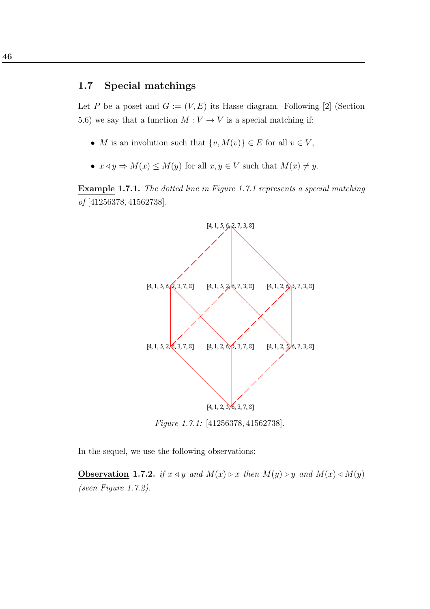### 1.7 Special matchings

Let P be a poset and  $G := (V, E)$  its Hasse diagram. Following [2] (Section 5.6) we say that a function  $M: V \to V$  is a special matching if:

- M is an involution such that  $\{v, M(v)\}\in E$  for all  $v \in V$ ,
- $x \triangleleft y \Rightarrow M(x) \leq M(y)$  for all  $x, y \in V$  such that  $M(x) \neq y$ .

Example 1.7.1. The dotted line in Figure 1.7.1 represents a special matching of [41256378, 41562738].



In the sequel, we use the following observations:

Observation 1.7.2. if  $x \triangleleft y$  and  $M(x) \triangleright x$  then  $M(y) \triangleright y$  and  $M(x) \triangleleft M(y)$ (seen Figure 1.7.2).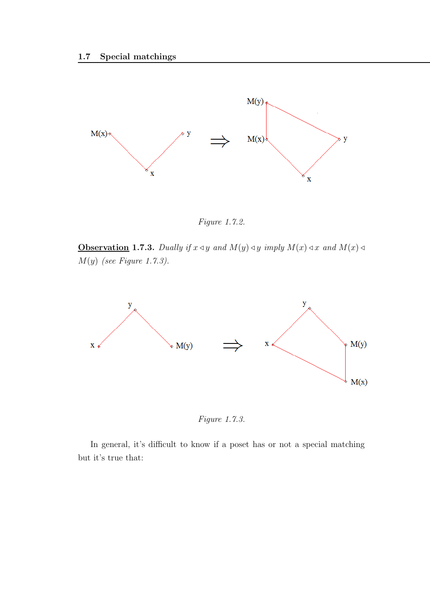

Figure 1.7.2.

Observation 1.7.3. Dually if  $x \triangleleft y$  and  $M(y) \triangleleft y$  imply  $M(x) \triangleleft x$  and  $M(x) \triangleleft y$  $M(y)$  (see Figure 1.7.3).



Figure 1.7.3.

In general, it's difficult to know if a poset has or not a special matching but it's true that: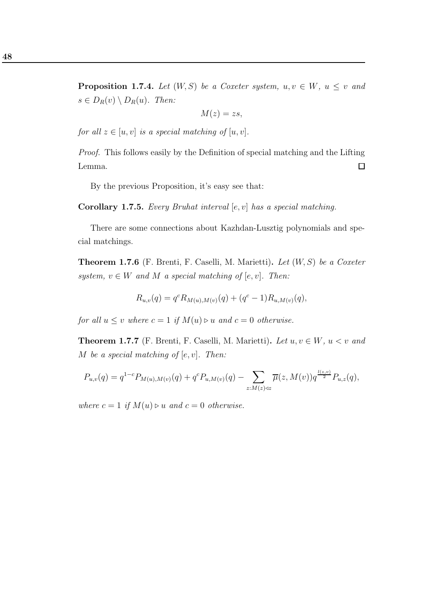**Proposition 1.7.4.** Let  $(W, S)$  be a Coxeter system,  $u, v \in W$ ,  $u \leq v$  and  $s \in D_R(v) \setminus D_R(u)$ . Then:

$$
M(z)=zs,
$$

for all  $z \in [u, v]$  is a special matching of  $[u, v]$ .

Proof. This follows easily by the Definition of special matching and the Lifting  $\Box$ Lemma.

By the previous Proposition, it's easy see that:

**Corollary 1.7.5.** Every Bruhat interval  $[e, v]$  has a special matching.

There are some connections about Kazhdan-Lusztig polynomials and special matchings.

**Theorem 1.7.6** (F. Brenti, F. Caselli, M. Marietti). Let  $(W, S)$  be a Coxeter system,  $v \in W$  and M a special matching of  $[e, v]$ . Then:

$$
R_{u,v}(q) = q^{c} R_{M(u),M(v)}(q) + (q^{c} - 1) R_{u,M(v)}(q),
$$

for all  $u \le v$  where  $c = 1$  if  $M(u) \triangleright u$  and  $c = 0$  otherwise.

**Theorem 1.7.7** (F. Brenti, F. Caselli, M. Marietti). Let  $u, v \in W$ ,  $u < v$  and M be a special matching of  $[e, v]$ . Then:

$$
P_{u,v}(q) = q^{1-c} P_{M(u),M(v)}(q) + q^c P_{u,M(v)}(q) - \sum_{z:M(z)\triangleleft z} \overline{\mu}(z,M(v)) q^{\frac{l(z,v)}{2}} P_{u,z}(q),
$$

where  $c = 1$  if  $M(u) \triangleright u$  and  $c = 0$  otherwise.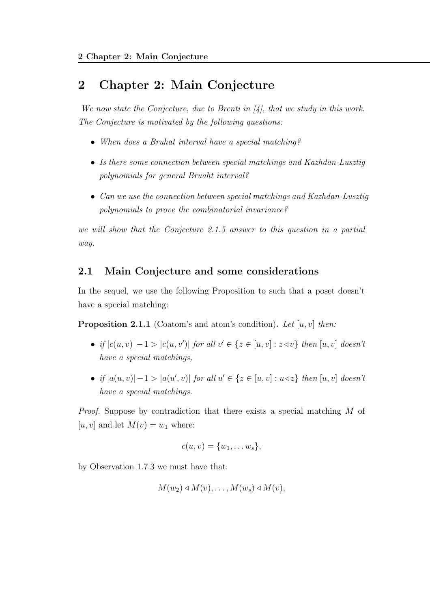## 2 Chapter 2: Main Conjecture

We now state the Conjecture, due to Brenti in  $\mathcal{A}_i$ , that we study in this work. The Conjecture is motivated by the following questions:

- When does a Bruhat interval have a special matching?
- Is there some connection between special matchings and Kazhdan-Lusztig polynomials for general Bruaht interval?
- Can we use the connection between special matchings and Kazhdan-Lusztig polynomials to prove the combinatorial invariance?

we will show that the Conjecture 2.1.5 answer to this question in a partial way.

### 2.1 Main Conjecture and some considerations

In the sequel, we use the following Proposition to such that a poset doesn't have a special matching:

**Proposition 2.1.1** (Coatom's and atom's condition). Let  $[u, v]$  then:

- if  $|c(u, v)| 1 > |c(u, v')|$  for all  $v' \in \{z \in [u, v] : z \triangleleft v\}$  then  $[u, v]$  doesn't have a special matchings,
- if  $|a(u, v)| 1 > |a(u', v)|$  for all  $u' \in \{z \in [u, v] : u \triangleleft z\}$  then  $[u, v]$  doesn't have a special matchings.

Proof. Suppose by contradiction that there exists a special matching M of [u, v] and let  $M(v) = w_1$  where:

$$
c(u,v)=\{w_1,\ldots w_s\},\,
$$

by Observation 1.7.3 we must have that:

$$
M(w_2) \triangleleft M(v), \ldots, M(w_s) \triangleleft M(v),
$$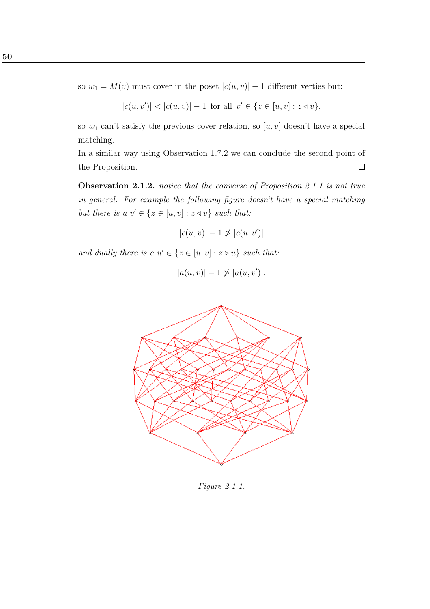so  $w_1 = M(v)$  must cover in the poset  $|c(u, v)| - 1$  different verties but:

$$
|c(u, v')| < |c(u, v)| - 1 \text{ for all } v' \in \{z \in [u, v] : z \triangleleft v\},\
$$

so  $w_1$  can't satisfy the previous cover relation, so  $[u, v]$  doesn't have a special matching.

In a similar way using Observation 1.7.2 we can conclude the second point of the Proposition.  $\Box$ 

Observation 2.1.2. notice that the converse of Proposition 2.1.1 is not true in general. For example the following figure doesn't have a special matching but there is a  $v' \in \{z \in [u, v] : z \triangleleft v\}$  such that:

$$
|c(u, v)| - 1 \not> |c(u, v')|
$$

and dually there is a  $u' \in \{z \in [u, v] : z \triangleright u\}$  such that:

$$
|a(u, v)| - 1 \not> |a(u, v')|.
$$



Figure 2.1.1.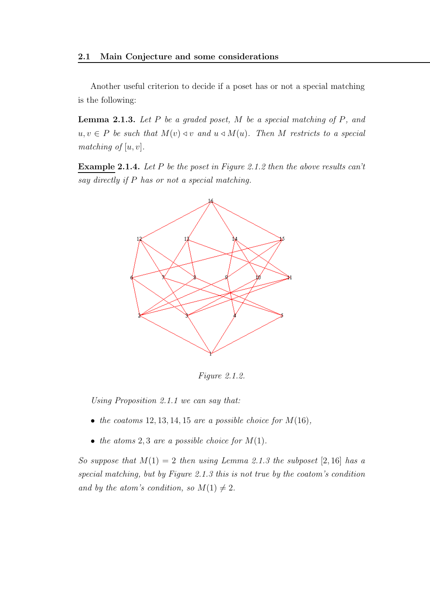Another useful criterion to decide if a poset has or not a special matching is the following:

**Lemma 2.1.3.** Let  $P$  be a graded poset,  $M$  be a special matching of  $P$ , and  $u, v \in P$  be such that  $M(v) \triangleleft v$  and  $u \triangleleft M(u)$ . Then M restricts to a special matching of  $[u, v]$ .

Example 2.1.4. Let P be the poset in Figure 2.1.2 then the above results can't say directly if P has or not a special matching.



Figure 2.1.2.

Using Proposition 2.1.1 we can say that:

- the coatoms  $12, 13, 14, 15$  are a possible choice for  $M(16)$ ,
- the atoms 2,3 are a possible choice for  $M(1)$ .

So suppose that  $M(1) = 2$  then using Lemma 2.1.3 the subposet [2, 16] has a special matching, but by Figure 2.1.3 this is not true by the coatom's condition and by the atom's condition, so  $M(1) \neq 2$ .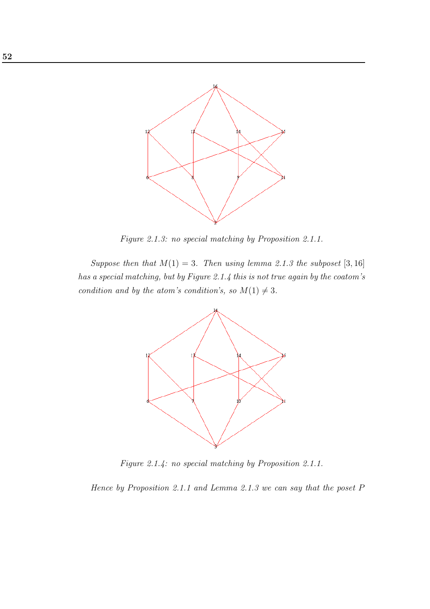

Figure 2.1.3: no special matching by Proposition 2.1.1.

Suppose then that  $M(1) = 3$ . Then using lemma 2.1.3 the subposet [3, 16] has a special matching, but by Figure 2.1.4 this is not true again by the coatom's condition and by the atom's condition's, so  $M(1) \neq 3$ .



Figure 2.1.4: no special matching by Proposition 2.1.1.

Hence by Proposition 2.1.1 and Lemma 2.1.3 we can say that the poset P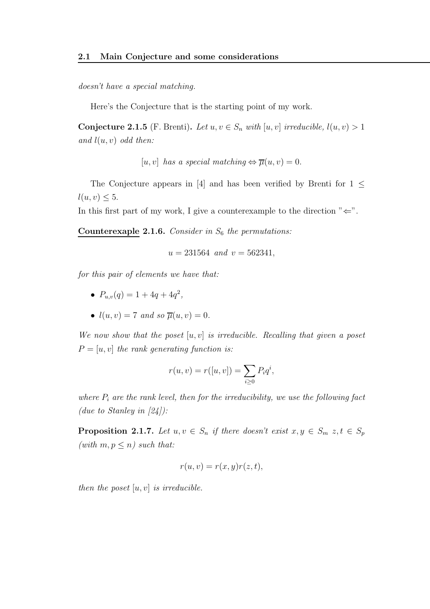doesn't have a special matching.

Here's the Conjecture that is the starting point of my work.

Conjecture 2.1.5 (F. Brenti). Let  $u, v \in S_n$  with  $[u, v]$  irreducible,  $l(u, v) > 1$ and  $l(u, v)$  odd then:

 $[u, v]$  has a special matching  $\Leftrightarrow \overline{\mu}(u, v) = 0.$ 

The Conjecture appears in [4] and has been verified by Brenti for  $1 \leq$  $l(u, v) \leq 5.$ 

In this first part of my work, I give a counterexample to the direction  $"\Leftarrow"$ .

Counterexaple 2.1.6. Consider in  $S_6$  the permutations:

$$
u = 231564 \text{ and } v = 562341,
$$

for this pair of elements we have that:

- $P_{u,v}(q) = 1 + 4q + 4q^2$ ,
- $l(u, v) = 7$  and so  $\overline{u}(u, v) = 0$ .

We now show that the poset  $[u, v]$  is irreducible. Recalling that given a poset  $P = [u, v]$  the rank generating function is:

$$
r(u, v) = r([u, v]) = \sum_{i \ge 0} P_i q^i,
$$

where  $P_i$  are the rank level, then for the irreducibility, we use the following fact (due to Stanley in  $[24]$ ):

**Proposition 2.1.7.** Let  $u, v \in S_n$  if there doesn't exist  $x, y \in S_m$   $z, t \in S_p$ (with  $m, p \leq n$ ) such that:

$$
r(u, v) = r(x, y)r(z, t),
$$

then the poset  $[u, v]$  is irreducible.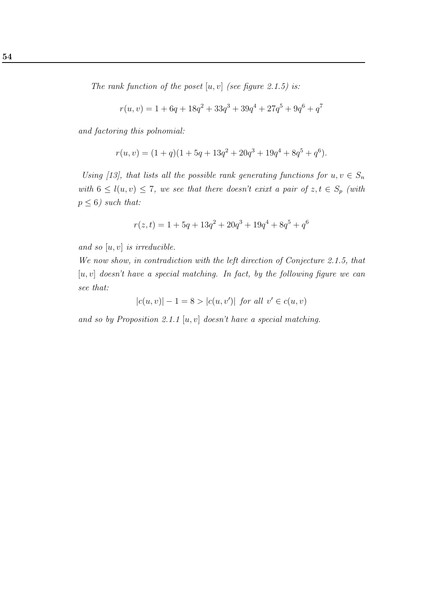The rank function of the poset  $[u, v]$  (see figure 2.1.5) is:

$$
r(u, v) = 1 + 6q + 18q^{2} + 33q^{3} + 39q^{4} + 27q^{5} + 9q^{6} + q^{7}
$$

and factoring this polnomial:

$$
r(u, v) = (1 + q)(1 + 5q + 13q^{2} + 20q^{3} + 19q^{4} + 8q^{5} + q^{6}).
$$

Using [13], that lists all the possible rank generating functions for  $u, v \in S_n$ with  $6 \leq l(u, v) \leq 7$ , we see that there doesn't exixt a pair of  $z, t \in S_p$  (with  $p \leq 6$ ) such that:

$$
r(z,t) = 1 + 5q + 13q^{2} + 20q^{3} + 19q^{4} + 8q^{5} + q^{6}
$$

and so  $[u, v]$  is irreducible.

We now show, in contradiction with the left direction of Conjecture 2.1.5, that  $[u, v]$  doesn't have a special matching. In fact, by the following figure we can see that:

 $|c(u, v)| - 1 = 8 > |c(u, v')|$  for all  $v' \in c(u, v)$ 

and so by Proposition 2.1.1  $[u, v]$  doesn't have a special matching.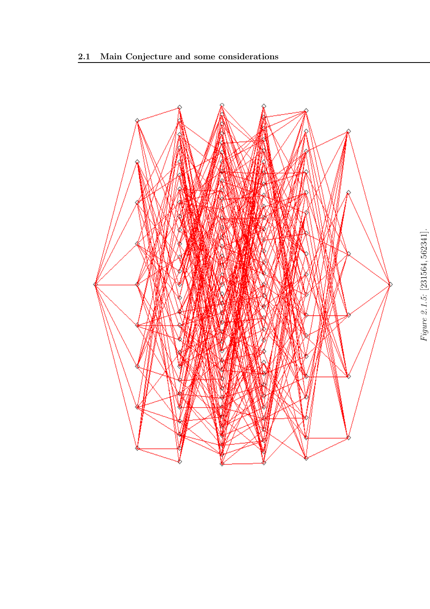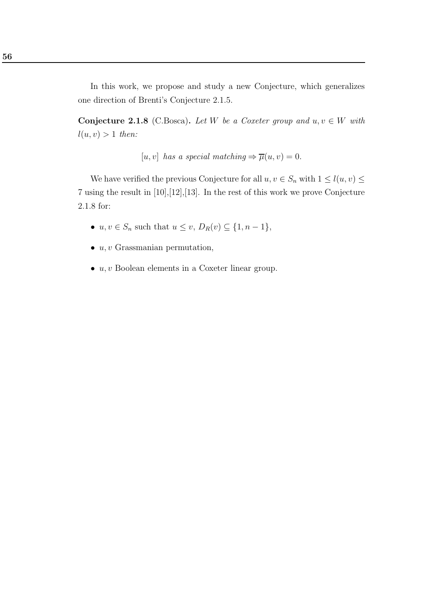In this work, we propose and study a new Conjecture, which generalizes one direction of Brenti's Conjecture 2.1.5.

Conjecture 2.1.8 (C.Bosca). Let W be a Coxeter group and  $u, v \in W$  with  $l(u, v) > 1$  then:

[u, v] has a special matching  $\Rightarrow \overline{\mu}(u, v) = 0.$ 

We have verified the previous Conjecture for all  $u, v \in S_n$  with  $1 \leq l(u, v) \leq$ 7 using the result in [10],[12],[13]. In the rest of this work we prove Conjecture 2.1.8 for:

- $u, v \in S_n$  such that  $u \le v$ ,  $D_R(v) \subseteq \{1, n-1\}$ ,
- $u, v$  Grassmanian permutation,
- $\bullet$   $u, v$  Boolean elements in a Coxeter linear group.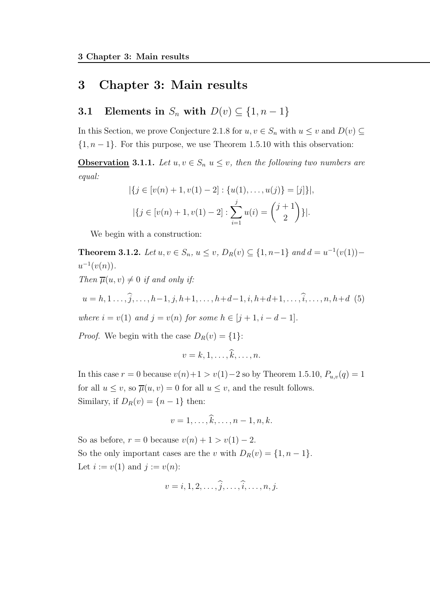# 3 Chapter 3: Main results

# 3.1 Elements in  $S_n$  with  $D(v) \subseteq \{1, n-1\}$

In this Section, we prove Conjecture 2.1.8 for  $u, v \in S_n$  with  $u \leq v$  and  $D(v) \subseteq$  $\{1, n-1\}$ . For this purpose, we use Theorem 1.5.10 with this observation:

**Observation 3.1.1.** Let  $u, v \in S_n$   $u \leq v$ , then the following two numbers are equal:

$$
|\{j \in [v(n) + 1, v(1) - 2] : \{u(1), \dots, u(j)\} = [j]\}|,
$$
  

$$
|\{j \in [v(n) + 1, v(1) - 2] : \sum_{i=1}^{j} u(i) = {\binom{j+1}{2}}\}|.
$$

We begin with a construction:

**Theorem 3.1.2.** Let  $u, v \in S_n$ ,  $u \le v$ ,  $D_R(v) \subseteq \{1, n-1\}$  and  $d = u^{-1}(v(1))$  –  $u^{-1}(v(n)).$ 

Then  $\overline{\mu}(u, v) \neq 0$  if and only if:

$$
u = h, 1, \ldots, \widehat{j}, \ldots, h-1, j, h+1, \ldots, h+d-1, i, h+d+1, \ldots, \widehat{i}, \ldots, n, h+d \quad (5)
$$

where  $i = v(1)$  and  $j = v(n)$  for some  $h \in [j + 1, i - d - 1]$ .

*Proof.* We begin with the case  $D_R(v) = \{1\}$ :

$$
v=k,1,\ldots,\widehat{k},\ldots,n.
$$

In this case  $r = 0$  because  $v(n)+1 > v(1)-2$  so by Theorem 1.5.10,  $P_{u,v}(q) = 1$ for all  $u \leq v$ , so  $\overline{\mu}(u, v) = 0$  for all  $u \leq v$ , and the result follows. Similary, if  $D_R(v) = \{n-1\}$  then:

$$
v=1,\ldots,\widehat{k},\ldots,n-1,n,k.
$$

So as before,  $r = 0$  because  $v(n) + 1 > v(1) - 2$ . So the only important cases are the v with  $D_R(v) = \{1, n-1\}.$ Let  $i := v(1)$  and  $j := v(n)$ :

$$
v=i,1,2,\ldots,\hat{j},\ldots,\hat{i},\ldots,n,j.
$$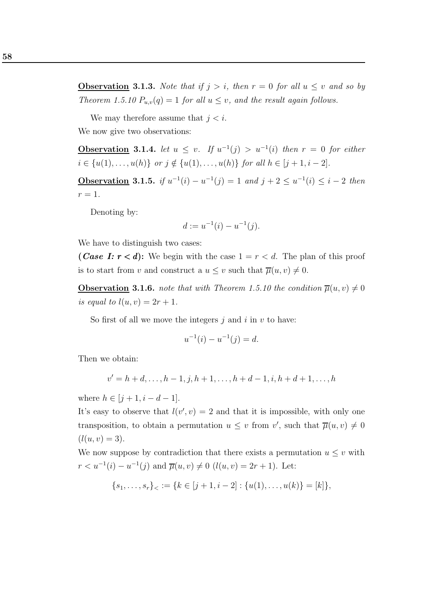**Observation 3.1.3.** Note that if  $j > i$ , then  $r = 0$  for all  $u \leq v$  and so by Theorem 1.5.10  $P_{u,v}(q) = 1$  for all  $u \le v$ , and the result again follows.

We may therefore assume that  $j < i$ .

We now give two observations:

**Observation** 3.1.4. let  $u \leq v$ . If  $u^{-1}(j) > u^{-1}(i)$  then  $r = 0$  for either  $i \in \{u(1), \ldots, u(h)\}$  or  $j \notin \{u(1), \ldots, u(h)\}$  for all  $h \in [j + 1, i - 2]$ .

**Observation 3.1.5.** if  $u^{-1}(i) - u^{-1}(j) = 1$  and  $j + 2 \le u^{-1}(i) \le i - 2$  then  $r=1$ .

Denoting by:

$$
d := u^{-1}(i) - u^{-1}(j).
$$

We have to distinguish two cases:

(*Case I:*  $r < d$ ): We begin with the case  $1 = r < d$ . The plan of this proof is to start from v and construct a  $u \leq v$  such that  $\overline{\mu}(u, v) \neq 0$ .

**Observation 3.1.6.** note that with Theorem 1.5.10 the condition  $\overline{\mu}(u, v) \neq 0$ is equal to  $l(u, v) = 2r + 1$ .

So first of all we move the integers  $j$  and  $i$  in  $v$  to have:

$$
u^{-1}(i) - u^{-1}(j) = d.
$$

Then we obtain:

$$
v' = h + d, \dots, h - 1, j, h + 1, \dots, h + d - 1, i, h + d + 1, \dots, h
$$

where  $h \in [j + 1, i - d - 1].$ 

It's easy to observe that  $l(v', v) = 2$  and that it is impossible, with only one transposition, to obtain a permutation  $u \leq v$  from  $v'$ , such that  $\overline{\mu}(u, v) \neq 0$  $(l(u, v) = 3).$ 

We now suppose by contradiction that there exists a permutation  $u \leq v$  with  $r < u^{-1}(i) - u^{-1}(j)$  and  $\overline{\mu}(u, v) \neq 0$   $(l(u, v) = 2r + 1)$ . Let:

$$
\{s_1, \ldots, s_r\}_\lt := \{k \in [j+1, i-2] : \{u(1), \ldots, u(k)\} = [k]\},\
$$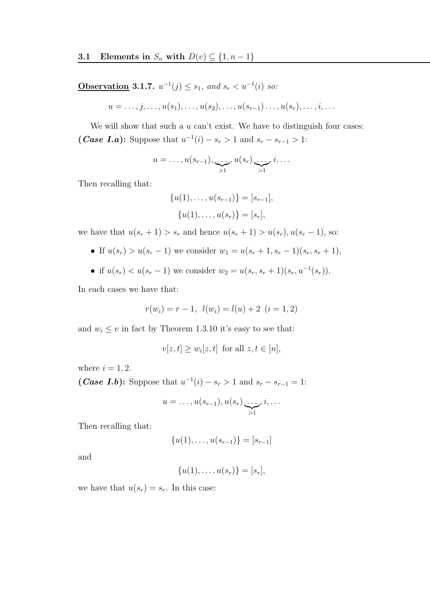**Observation 3.1.7.**  $u^{-1}(j) \leq s_1$ , and  $s_r < u^{-1}(i)$  so:

$$
u=\ldots,j,\ldots,u(s_1),\ldots,u(s_2),\ldots,u(s_{r-1})\ldots,u(s_r),\ldots,i,\ldots
$$

We will show that such a  $u$  can't exist. We have to distinguish four cases: (*Case I.a*): Suppose that  $u^{-1}(i) - s_r > 1$  and  $s_r - s_{r-1} > 1$ :

$$
u = \ldots, u(s_{r-1}), \underbrace{\ldots, u(s_r)}_{>1}, \underbrace{\ldots, i}_{>1}, i, \ldots
$$

Then recalling that:

$$
{u(1),...,u(s_{r-1})} = [s_{r-1}],
$$
  

$$
{u(1),...,u(s_r)} = [s_r],
$$

we have that  $u(s_r + 1) > s_r$  and hence  $u(s_r + 1) > u(s_r)$ ,  $u(s_r - 1)$ , so:

- If  $u(s_r) > u(s_r 1)$  we consider  $w_1 = u(s_r + 1, s_r 1)(s_r, s_r + 1)$ ,
- if  $u(s_r) < u(s_r 1)$  we consider  $w_2 = u(s_r, s_r + 1)(s_r, u^{-1}(s_r)).$

In each cases we have that:

$$
r(w_i) = r - 1, \ l(w_i) = l(u) + 2 \ (i = 1, 2)
$$

and  $w_i \leq v$  in fact by Theorem 1.3.10 it's easy to see that:

$$
v[z, t] \ge w_i[z, t] \text{ for all } z, t \in [n],
$$

where  $i = 1, 2$ .

(*Case I.b*): Suppose that  $u^{-1}(i) - s_r > 1$  and  $s_r - s_{r-1} = 1$ :

$$
u=\ldots,u(s_{r-1}),u(s_r)\underbrace{\ldots}_{>1},i,\ldots
$$

Then recalling that:

$$
\{u(1),\ldots,u(s_{r-1})\}=[s_{r-1}]
$$

and

$$
\{u(1),\ldots,u(s_r)\}=[s_r],
$$

we have that  $u(s_r) = s_r$ . In this case: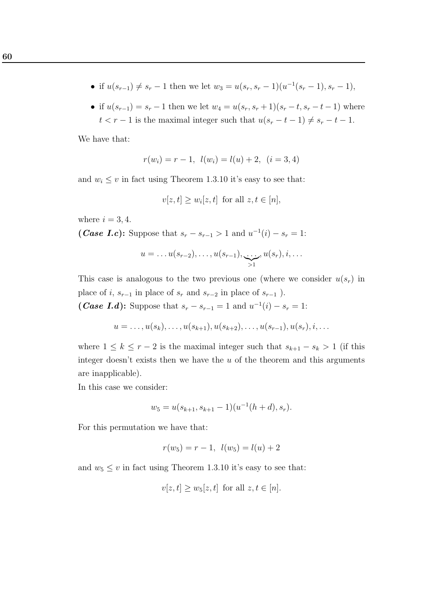- if  $u(s_{r-1}) \neq s_r 1$  then we let  $w_3 = u(s_r, s_r 1)(u^{-1}(s_r 1), s_r 1)$ ,
- if  $u(s_{r-1}) = s_r 1$  then we let  $w_4 = u(s_r, s_r + 1)(s_r t, s_r t 1)$  where  $t < r - 1$  is the maximal integer such that  $u(s_r - t - 1) \neq s_r - t - 1$ .

We have that:

$$
r(w_i) = r - 1, \ l(w_i) = l(u) + 2, \ (i = 3, 4)
$$

and  $w_i \leq v$  in fact using Theorem 1.3.10 it's easy to see that:

$$
v[z, t] \ge w_i[z, t] \text{ for all } z, t \in [n],
$$

where  $i = 3, 4$ .

(*Case I.c*): Suppose that  $s_r - s_{r-1} > 1$  and  $u^{-1}(i) - s_r = 1$ :

$$
u=\ldots u(s_{r-2}),\ldots,u(s_{r-1}),\ldots,u(s_r),i,\ldots
$$

This case is analogous to the two previous one (where we consider  $u(s_r)$  in place of  $i,\,s_{r-1}$  in place of  $s_r$  and  $s_{r-2}$  in place of  $s_{r-1}$  ). (*Case I.d*): Suppose that  $s_r - s_{r-1} = 1$  and  $u^{-1}(i) - s_r = 1$ :

$$
u = \ldots, u(s_k), \ldots, u(s_{k+1}), u(s_{k+2}), \ldots, u(s_{r-1}), u(s_r), i, \ldots
$$

where  $1 \leq k \leq r-2$  is the maximal integer such that  $s_{k+1} - s_k > 1$  (if this integer doesn't exists then we have the  $u$  of the theorem and this arguments are inapplicable).

In this case we consider:

$$
w_5 = u(s_{k+1}, s_{k+1} - 1)(u^{-1}(h+d), s_r).
$$

For this permutation we have that:

$$
r(w_5) = r - 1, \ l(w_5) = l(u) + 2
$$

and  $w_5 \le v$  in fact using Theorem 1.3.10 it's easy to see that:

$$
v[z, t] \ge w_5[z, t] \text{ for all } z, t \in [n].
$$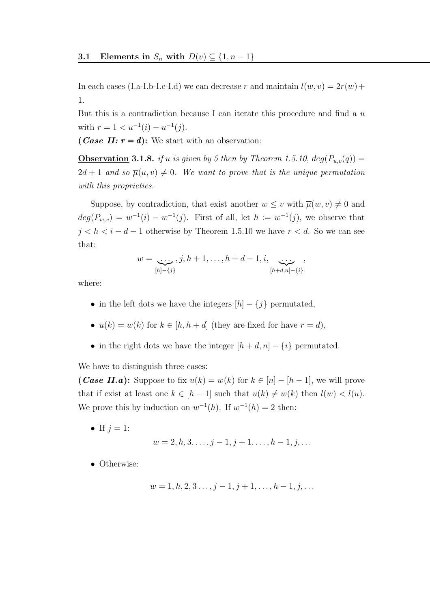In each cases (I.a-I.b-I.c-I.d) we can decrease r and maintain  $l(w, v) = 2r(w) +$ 1.

But this is a contradiction because I can iterate this procedure and find a  $u$ with  $r = 1 < u^{-1}(i) - u^{-1}(j)$ .

(*Case II:*  $r = d$ ): We start with an observation:

**Observation 3.1.8.** if u is given by 5 then by Theorem 1.5.10,  $deg(P_{u,v}(q)) =$  $2d + 1$  and so  $\overline{\mu}(u, v) \neq 0$ . We want to prove that is the unique permutation with this proprieties.

Suppose, by contradiction, that exist another  $w \leq v$  with  $\overline{\mu}(w, v) \neq 0$  and  $deg(P_{w,v}) = w^{-1}(i) - w^{-1}(j)$ . First of all, let  $h := w^{-1}(j)$ , we observe that  $j < h < i - d - 1$  otherwise by Theorem 1.5.10 we have  $r < d$ . So we can see that:

$$
w = \underbrace{\ldots}_{[h]-\{j\}}, j, h+1, \ldots, h+d-1, i, \underbrace{\ldots}_{[h+d,n]-\{i\}},
$$

where:

- in the left dots we have the integers  $[h] \{j\}$  permutated,
- $u(k) = w(k)$  for  $k \in [h, h + d]$  (they are fixed for have  $r = d$ ),
- in the right dots we have the integer  $[h + d, n] \{i\}$  permutated.

We have to distinguish three cases:

(*Case II.a*): Suppose to fix  $u(k) = w(k)$  for  $k \in [n] - [h-1]$ , we will prove that if exist at least one  $k \in [h-1]$  such that  $u(k) \neq w(k)$  then  $l(w) < l(u)$ . We prove this by induction on  $w^{-1}(h)$ . If  $w^{-1}(h) = 2$  then:

• If  $j = 1$ :

$$
w = 2, h, 3, \dots, j - 1, j + 1, \dots, h - 1, j, \dots
$$

• Otherwise:

$$
w = 1, h, 2, 3 \dots, j - 1, j + 1, \dots, h - 1, j, \dots
$$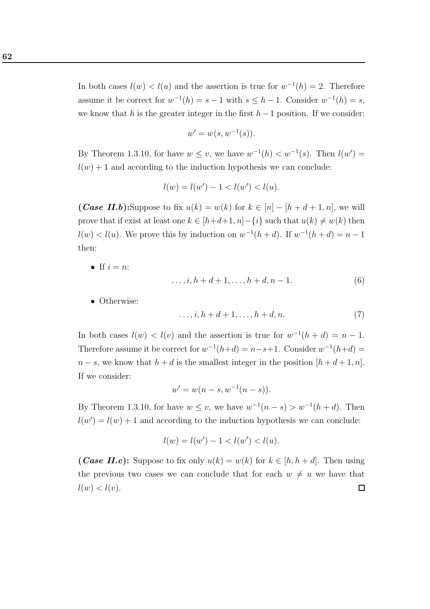In both cases  $l(w) < l(u)$  and the assertion is true for  $w^{-1}(h) = 2$ . Therefore assume it be correct for  $w^{-1}(h) = s - 1$  with  $s \leq h - 1$ . Consider  $w^{-1}(h) = s$ , we know that h is the greater integer in the first  $h-1$  position. If we consider:

$$
w' = w(s, w^{-1}(s)).
$$

By Theorem 1.3.10, for have  $w \leq v$ , we have  $w^{-1}(h) < w^{-1}(s)$ . Then  $l(w') =$  $l(w) + 1$  and according to the induction hypothesis we can conclude:

$$
l(w) = l(w') - 1 < l(w') < l(u).
$$

(*Case II.b*):Suppose to fix  $u(k) = w(k)$  for  $k \in [n] - [h + d + 1, n]$ , we will prove that if exist at least one  $k \in [h+d+1, n] - \{i\}$  such that  $u(k) \neq w(k)$  then  $l(w) < l(u)$ . We prove this by induction on  $w^{-1}(h+d)$ . If  $w^{-1}(h+d) = n-1$ then:

• If  $i = n$ :

$$
\dots, i, h + d + 1, \dots, h + d, n - 1.
$$
 (6)

• Otherwise:

$$
\ldots, i, h+d+1, \ldots, h+d, n. \tag{7}
$$

In both cases  $l(w) < l(v)$  and the assertion is true for  $w^{-1}(h + d) = n - 1$ . Therefore assume it be correct for  $w^{-1}(h+d) = n-s+1$ . Consider  $w^{-1}(h+d) =$  $n - s$ , we know that  $h + d$  is the smallest integer in the position  $[h + d + 1, n]$ . If we consider:

$$
w' = w(n - s, w^{-1}(n - s)).
$$

By Theorem 1.3.10, for have  $w \leq v$ , we have  $w^{-1}(n-s) > w^{-1}(h+d)$ . Then  $l(w') = l(w) + 1$  and according to the induction hypothesis we can conclude:

$$
l(w) = l(w') - 1 < l(w') < l(u).
$$

(*Case II.c*): Suppose to fix only  $u(k) = w(k)$  for  $k \in [h, h + d]$ . Then using the previous two cases we can conclude that for each  $w \neq u$  we have that  $l(w) < l(v)$ .  $\Box$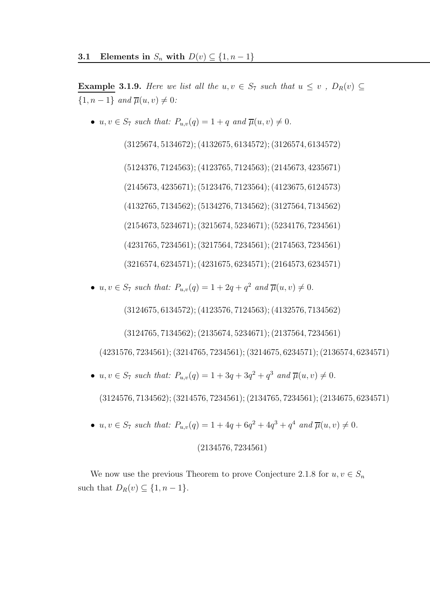**Example 3.1.9.** Here we list all the u,  $v \in S_7$  such that  $u \leq v$ ,  $D_R(v) \subseteq$  $\{1, n-1\}$  and  $\overline{\mu}(u, v) \neq 0$ :

•  $u, v \in S_7$  such that:  $P_{u,v}(q) = 1 + q$  and  $\overline{\mu}(u, v) \neq 0$ .

(3125674, 5134672); (4132675, 6134572); (3126574, 6134572) (5124376, 7124563); (4123765, 7124563); (2145673, 4235671) (2145673, 4235671); (5123476, 7123564); (4123675, 6124573) (4132765, 7134562); (5134276, 7134562); (3127564, 7134562) (2154673, 5234671); (3215674, 5234671); (5234176, 7234561) (4231765, 7234561); (3217564, 7234561); (2174563, 7234561) (3216574, 6234571); (4231675, 6234571); (2164573, 6234571)

•  $u, v \in S_7$  such that:  $P_{u,v}(q) = 1 + 2q + q^2$  and  $\overline{\mu}(u, v) \neq 0$ .

(3124675, 6134572); (4123576, 7124563); (4132576, 7134562)

(3124765, 7134562); (2135674, 5234671); (2137564, 7234561)

(4231576, 7234561); (3214765, 7234561); (3214675, 6234571); (2136574, 6234571)

•  $u, v \in S_7$  such that:  $P_{u,v}(q) = 1 + 3q + 3q^2 + q^3$  and  $\overline{\mu}(u, v) \neq 0$ .

(3124576, 7134562); (3214576, 7234561); (2134765, 7234561); (2134675, 6234571)

•  $u, v \in S_7$  such that:  $P_{u,v}(q) = 1 + 4q + 6q^2 + 4q^3 + q^4$  and  $\overline{\mu}(u, v) \neq 0$ .

### (2134576, 7234561)

We now use the previous Theorem to prove Conjecture 2.1.8 for  $u, v \in S_n$ such that  $D_R(v) \subseteq \{1, n-1\}.$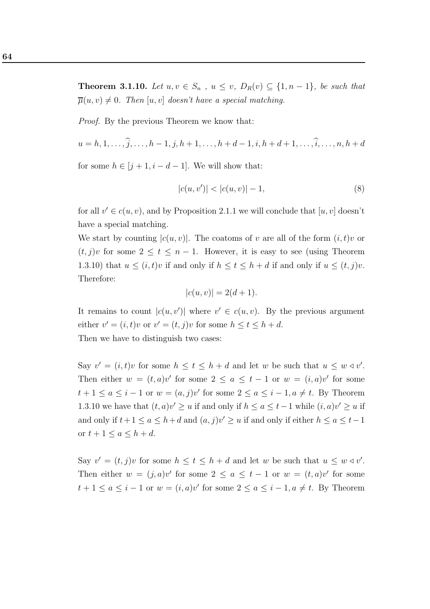**Theorem 3.1.10.** Let  $u, v \in S_n$ ,  $u \le v$ ,  $D_R(v) \subseteq \{1, n-1\}$ , be such that  $\overline{\mu}(u, v) \neq 0$ . Then  $[u, v]$  doesn't have a special matching.

Proof. By the previous Theorem we know that:

$$
u = h, 1, \dots, \widehat{j}, \dots, h - 1, j, h + 1, \dots, h + d - 1, i, h + d + 1, \dots, \widehat{i}, \dots, n, h + d
$$

for some  $h \in [j+1, i-d-1]$ . We will show that:

$$
|c(u, v')| < |c(u, v)| - 1,\tag{8}
$$

for all  $v' \in c(u, v)$ , and by Proposition 2.1.1 we will conclude that  $[u, v]$  doesn't have a special matching.

We start by counting  $|c(u, v)|$ . The coatoms of v are all of the form  $(i, t)v$  or  $(t, j)v$  for some  $2 \le t \le n - 1$ . However, it is easy to see (using Theorem 1.3.10) that  $u \leq (i,t)v$  if and only if  $h \leq t \leq h+d$  if and only if  $u \leq (t, j)v$ . Therefore:

$$
|c(u, v)| = 2(d+1).
$$

It remains to count  $|c(u, v')|$  where  $v' \in c(u, v)$ . By the previous argument either  $v' = (i, t)v$  or  $v' = (t, j)v$  for some  $h \le t \le h + d$ .

Then we have to distinguish two cases:

Say  $v' = (i, t)v$  for some  $h \le t \le h + d$  and let w be such that  $u \le w \triangleleft v'$ . Then either  $w = (t, a)v'$  for some  $2 \le a \le t-1$  or  $w = (i, a)v'$  for some  $t+1 \le a \le i-1$  or  $w = (a, j)v'$  for some  $2 \le a \le i-1, a \ne t$ . By Theorem 1.3.10 we have that  $(t, a)v' \ge u$  if and only if  $h \le a \le t-1$  while  $(i, a)v' \ge u$  if and only if  $t+1 \le a \le h+d$  and  $(a, j)v' \ge u$  if and only if either  $h \le a \le t-1$ or  $t + 1 \le a \le h + d$ .

Say  $v' = (t, j)v$  for some  $h \le t \le h + d$  and let w be such that  $u \le w \triangleleft v'$ . Then either  $w = (j, a)v'$  for some  $2 \le a \le t-1$  or  $w = (t, a)v'$  for some  $t+1 \le a \le i-1$  or  $w = (i, a)v'$  for some  $2 \le a \le i-1, a \ne t$ . By Theorem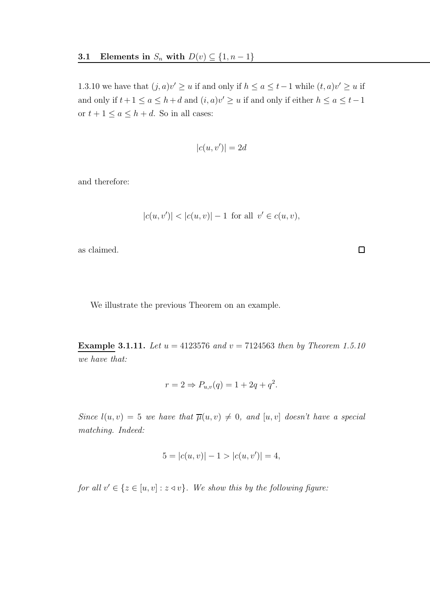1.3.10 we have that  $(j, a)v' \ge u$  if and only if  $h \le a \le t-1$  while  $(t, a)v' \ge u$  if and only if  $t+1 \le a \le h+d$  and  $(i, a)v' \ge u$  if and only if either  $h \le a \le t-1$ or  $t + 1 \le a \le h + d$ . So in all cases:

$$
|c(u, v')| = 2d
$$

and therefore:

$$
|c(u, v')| < |c(u, v)| - 1 \text{ for all } v' \in c(u, v),
$$

 $\Box$ 

as claimed.

We illustrate the previous Theorem on an example.

**Example 3.1.11.** Let  $u = 4123576$  and  $v = 7124563$  then by Theorem 1.5.10 we have that:

$$
r = 2 \Rightarrow P_{u,v}(q) = 1 + 2q + q^2.
$$

Since  $l(u, v) = 5$  we have that  $\overline{\mu}(u, v) \neq 0$ , and  $[u, v]$  doesn't have a special matching. Indeed:

$$
5 = |c(u, v)| - 1 > |c(u, v')| = 4,
$$

for all  $v' \in \{z \in [u, v] : z \triangleleft v\}$ . We show this by the following figure: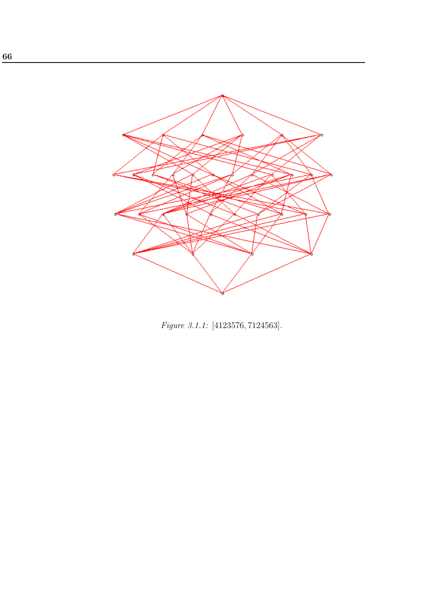

Figure 3.1.1: [4123576, 7124563].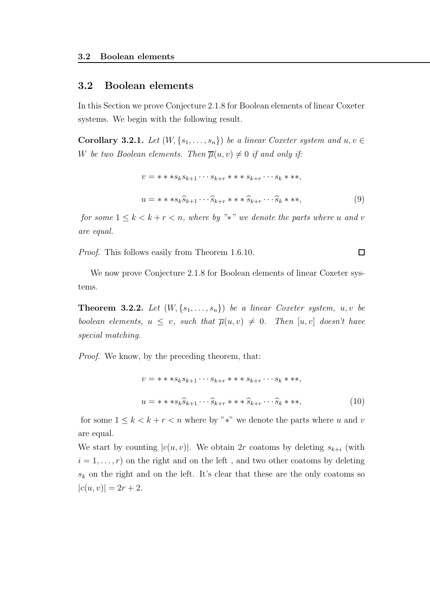### 3.2 Boolean elements

In this Section we prove Conjecture 2.1.8 for Boolean elements of linear Coxeter systems. We begin with the following result.

Corollary 3.2.1. Let  $(W, \{s_1, \ldots, s_n\})$  be a linear Coxeter system and  $u, v \in$ W be two Boolean elements. Then  $\overline{\mu}(u, v) \neq 0$  if and only if:

$$
v = * * *s_k s_{k+1} \cdots s_{k+r} * * * s_{k+r} \cdots s_k * **,
$$
  

$$
u = * * s_k \widehat{s}_{k+1} \cdots \widehat{s}_{k+r} * * \widehat{s}_{k+r} \cdots \widehat{s}_k * **,
$$

$$
(9)
$$

for some  $1 \leq k < k+r < n$ , where by "\*" we denote the parts where u and v are equal.

Proof. This follows easily from Theorem 1.6.10.

We now prove Conjecture 2.1.8 for Boolean elements of linear Coxeter systems.

**Theorem 3.2.2.** Let  $(W, \{s_1, \ldots, s_n\})$  be a linear Coxeter system,  $u, v$  be boolean elements,  $u \leq v$ , such that  $\overline{\mu}(u, v) \neq 0$ . Then  $[u, v]$  doesn't have special matching.

Proof. We know, by the preceding theorem, that:

$$
v = * * *s_k s_{k+1} \cdots s_{k+r} * * s_{k+r} \cdots s_k * **,
$$
  

$$
u = * * s_k \widehat{s}_{k+1} \cdots \widehat{s}_{k+r} * * \widehat{s}_{k+r} \cdots \widehat{s}_k * **,
$$
 (10)

for some  $1 \leq k < k + r < n$  where by "\*" we denote the parts where u and v are equal.

We start by counting  $|c(u, v)|$ . We obtain 2r coatoms by deleting  $s_{k+i}$  (with  $i = 1, \ldots, r$  on the right and on the left, and two other coatoms by deleting  $s_k$  on the right and on the left. It's clear that these are the only coatoms so  $|c(u, v)| = 2r + 2.$ 

 $\Box$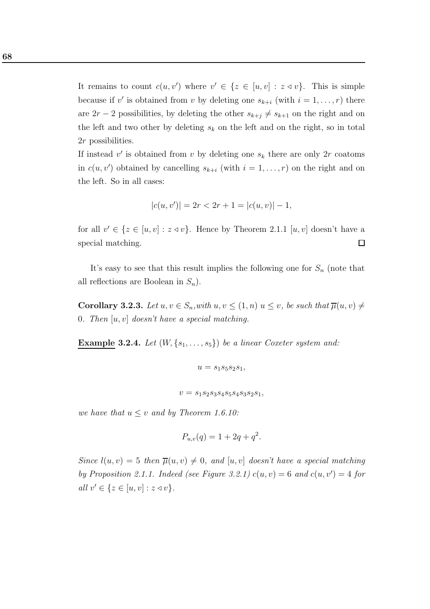It remains to count  $c(u, v')$  where  $v' \in \{z \in [u, v] : z \triangleleft v\}$ . This is simple because if v' is obtained from v by deleting one  $s_{k+i}$  (with  $i = 1, \ldots, r$ ) there are  $2r-2$  possibilities, by deleting the other  $s_{k+j} \neq s_{k+1}$  on the right and on the left and two other by deleting  $s_k$  on the left and on the right, so in total 2r possibilities.

If instead  $v'$  is obtained from  $v$  by deleting one  $s_k$  there are only  $2r$  coatoms in  $c(u, v')$  obtained by cancelling  $s_{k+i}$  (with  $i = 1, ..., r$ ) on the right and on the left. So in all cases:

$$
|c(u, v')| = 2r < 2r + 1 = |c(u, v)| - 1,
$$

for all  $v' \in \{z \in [u, v] : z \triangleleft v\}$ . Hence by Theorem 2.1.1  $[u, v]$  doesn't have a special matching.  $\Box$ 

It's easy to see that this result implies the following one for  $S_n$  (note that all reflections are Boolean in  $S_n$ ).

Corollary 3.2.3. Let  $u, v \in S_n$ , with  $u, v \leq (1, n)$   $u \leq v$ , be such that  $\overline{\mu}(u, v) \neq$ 0. Then  $[u, v]$  doesn't have a special matching.

**Example 3.2.4.** Let  $(W, \{s_1, \ldots, s_5\})$  be a linear Coxeter system and:

$$
u = s_1 s_5 s_2 s_1,
$$

 $v = s_1 s_2 s_3 s_4 s_5 s_4 s_3 s_2 s_1,$ 

we have that  $u \leq v$  and by Theorem 1.6.10:

$$
P_{u,v}(q) = 1 + 2q + q^2.
$$

Since  $l(u, v) = 5$  then  $\overline{\mu}(u, v) \neq 0$ , and  $[u, v]$  doesn't have a special matching by Proposition 2.1.1. Indeed (see Figure 3.2.1)  $c(u, v) = 6$  and  $c(u, v') = 4$  for all  $v' \in \{z \in [u, v] : z \triangleleft v\}.$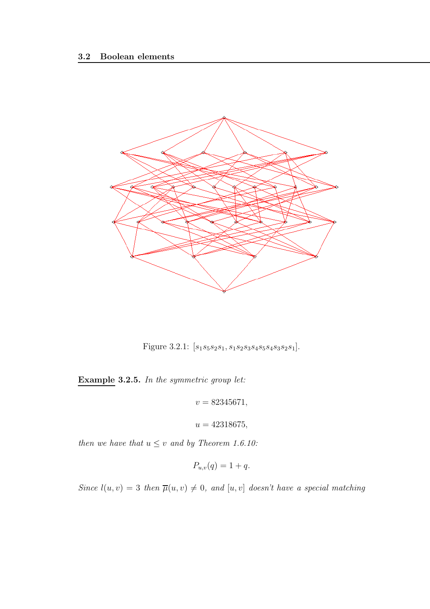

Figure 3.2.1:  $[s_1s_5s_2s_1, s_1s_2s_3s_4s_5s_4s_3s_2s_1]$ .

Example 3.2.5. In the symmetric group let:

 $v = 82345671,$ 

 $u = 42318675,$ 

then we have that  $u \leq v$  and by Theorem 1.6.10:

$$
P_{u,v}(q) = 1 + q.
$$

Since  $l(u, v) = 3$  then  $\overline{\mu}(u, v) \neq 0$ , and  $[u, v]$  doesn't have a special matching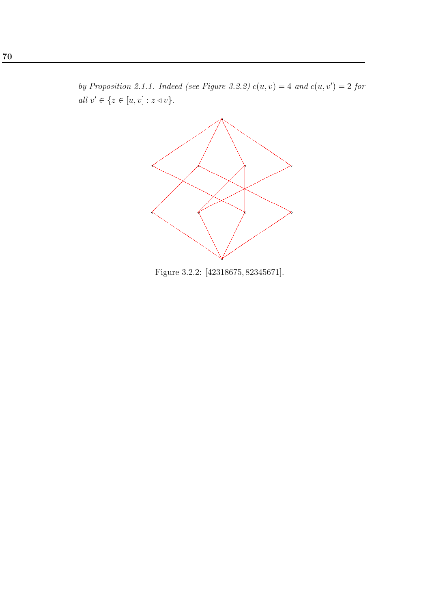by Proposition 2.1.1. Indeed (see Figure 3.2.2)  $c(u, v) = 4$  and  $c(u, v') = 2$  for all  $v' \in \{z \in [u, v] : z \triangleleft v\}.$ 



Figure 3.2.2: [42318675, 82345671].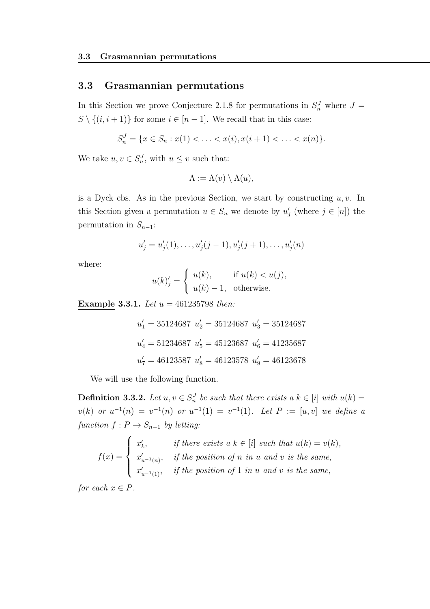### 3.3 Grasmannian permutations

In this Section we prove Conjecture 2.1.8 for permutations in  $S_n^J$  where  $J =$  $S \setminus \{(i, i + 1)\}\$ for some  $i \in [n - 1]$ . We recall that in this case:

$$
S_n^J = \{ x \in S_n : x(1) < \ldots < x(i), x(i+1) < \ldots < x(n) \}.
$$

We take  $u, v \in S_n^J$ , with  $u \leq v$  such that:

$$
\Lambda := \Lambda(v) \setminus \Lambda(u),
$$

is a Dyck cbs. As in the previous Section, we start by constructing  $u, v$ . In this Section given a permutation  $u \in S_n$  we denote by  $u'_j$  (where  $j \in [n]$ ) the permutation in  $S_{n-1}$ :

$$
u'_{j} = u'_{j}(1), \ldots, u'_{j}(j-1), u'_{j}(j+1), \ldots, u'_{j}(n)
$$

where:

$$
u(k)'_j = \begin{cases} u(k), & \text{if } u(k) < u(j), \\ u(k) - 1, & \text{otherwise.} \end{cases}
$$

Example 3.3.1. Let  $u = 461235798$  then:

$$
u'_1 = 35124687 \ u'_2 = 35124687 \ u'_3 = 35124687
$$
  

$$
u'_4 = 51234687 \ u'_5 = 45123687 \ u'_6 = 41235687
$$
  

$$
u'_7 = 46123587 \ u'_8 = 46123578 \ u'_9 = 46123678
$$

We will use the following function.

**Definition 3.3.2.** Let  $u, v \in S_n^J$  be such that there exists a  $k \in [i]$  with  $u(k) =$  $v(k)$  or  $u^{-1}(n) = v^{-1}(n)$  or  $u^{-1}(1) = v^{-1}(1)$ . Let  $P := [u, v]$  we define a function  $f: P \to S_{n-1}$  by letting:

$$
f(x) = \begin{cases} x'_k, & \text{if there exists a } k \in [i] \text{ such that } u(k) = v(k), \\ x'_{u^{-1}(n)}, & \text{if the position of } n \text{ in } u \text{ and } v \text{ is the same,} \\ x'_{u^{-1}(1)}, & \text{if the position of } 1 \text{ in } u \text{ and } v \text{ is the same,} \end{cases}
$$

for each  $x \in P$ .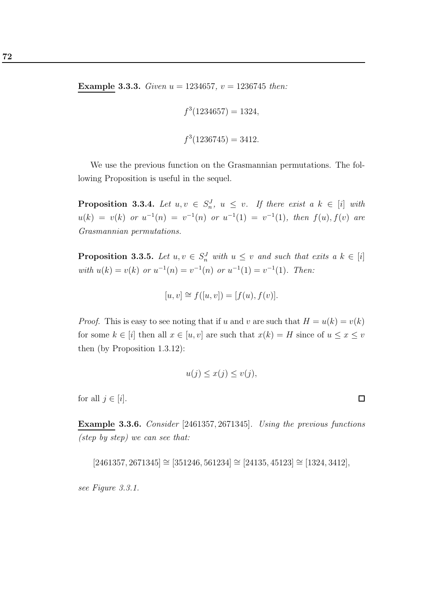**Example 3.3.3.** Given  $u = 1234657$ ,  $v = 1236745$  then:

$$
f^3(1234657) = 1324,
$$
  

$$
f^3(1236745) = 3412.
$$

We use the previous function on the Grasmannian permutations. The following Proposition is useful in the sequel.

**Proposition 3.3.4.** Let  $u, v \in S_n^J$ ,  $u \leq v$ . If there exist  $a \, k \in [i]$  with  $u(k) = v(k)$  or  $u^{-1}(n) = v^{-1}(n)$  or  $u^{-1}(1) = v^{-1}(1)$ , then  $f(u), f(v)$  are Grasmannian permutations.

**Proposition 3.3.5.** Let  $u, v \in S_n^J$  with  $u \leq v$  and such that exits a  $k \in [i]$ with  $u(k) = v(k)$  or  $u^{-1}(n) = v^{-1}(n)$  or  $u^{-1}(1) = v^{-1}(1)$ . Then:

$$
[u, v] \cong f([u, v]) = [f(u), f(v)].
$$

*Proof.* This is easy to see noting that if u and v are such that  $H = u(k) = v(k)$ for some  $k \in [i]$  then all  $x \in [u, v]$  are such that  $x(k) = H$  since of  $u \le x \le v$ then (by Proposition 1.3.12):

$$
u(j) \le x(j) \le v(j),
$$

for all  $j \in [i]$ .

Example 3.3.6. Consider [2461357, 2671345]. Using the previous functions (step by step) we can see that:

 $[2461357, 2671345] \cong [351246, 561234] \cong [24135, 45123] \cong [1324, 3412],$ 

see Figure 3.3.1.

 $\Box$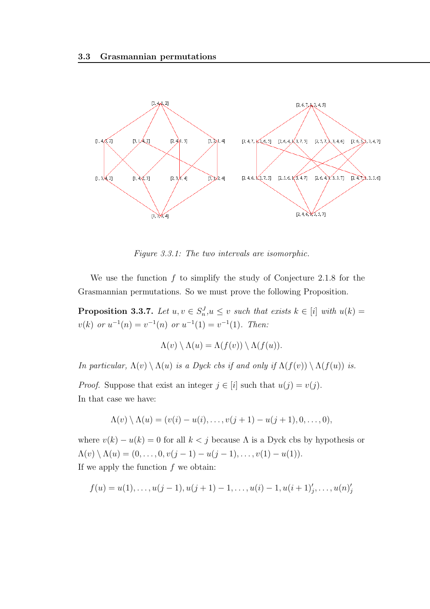

Figure 3.3.1: The two intervals are isomorphic.

We use the function  $f$  to simplify the study of Conjecture 2.1.8 for the Grasmannian permutations. So we must prove the following Proposition.

**Proposition 3.3.7.** Let  $u, v \in S_n^J, u \leq v$  such that exists  $k \in [i]$  with  $u(k) =$  $v(k)$  or  $u^{-1}(n) = v^{-1}(n)$  or  $u^{-1}(1) = v^{-1}(1)$ . Then:

$$
\Lambda(v) \setminus \Lambda(u) = \Lambda(f(v)) \setminus \Lambda(f(u)).
$$

In particular,  $\Lambda(v) \setminus \Lambda(u)$  is a Dyck cbs if and only if  $\Lambda(f(v)) \setminus \Lambda(f(u))$  is.

*Proof.* Suppose that exist an integer  $j \in [i]$  such that  $u(j) = v(j)$ . In that case we have:

$$
\Lambda(v) \setminus \Lambda(u) = (v(i) - u(i), \dots, v(j+1) - u(j+1), 0, \dots, 0),
$$

where  $v(k) - u(k) = 0$  for all  $k < j$  because  $\Lambda$  is a Dyck cbs by hypothesis or  $\Lambda(v) \setminus \Lambda(u) = (0, \ldots, 0, v(j-1) - u(j-1), \ldots, v(1) - u(1)).$ If we apply the function  $f$  we obtain:

$$
f(u) = u(1), \ldots, u(j-1), u(j+1)-1, \ldots, u(i)-1, u(i+1)'_j, \ldots, u(n)'_j
$$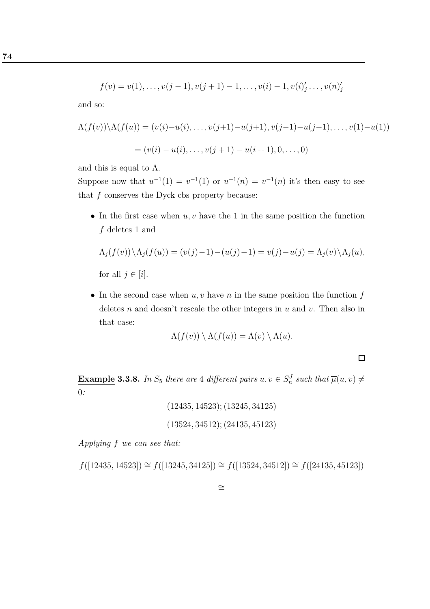$$
f(v) = v(1), \dots, v(j-1), v(j+1)-1, \dots, v(i)-1, v(i)_{j}' \dots, v(n)_{j}'
$$

and so:

$$
\Lambda(f(v)) \setminus \Lambda(f(u)) = (v(i) - u(i), \dots, v(j+1) - u(j+1), v(j-1) - u(j-1), \dots, v(1) - u(1))
$$
  
=  $(v(i) - u(i), \dots, v(j+1) - u(i+1), 0, \dots, 0)$ 

and this is equal to  $\Lambda$ .

Suppose now that  $u^{-1}(1) = v^{-1}(1)$  or  $u^{-1}(n) = v^{-1}(n)$  it's then easy to see that  $f$  conserves the Dyck cbs property because:

• In the first case when  $u, v$  have the 1 in the same position the function f deletes 1 and

$$
\Lambda_j(f(v)) \setminus \Lambda_j(f(u)) = (v(j)-1) - (u(j)-1) = v(j) - u(j) = \Lambda_j(v) \setminus \Lambda_j(u),
$$

for all  $j \in [i]$ .

• In the second case when  $u, v$  have n in the same position the function  $f$ deletes n and doesn't rescale the other integers in  $u$  and  $v$ . Then also in that case:

$$
\Lambda(f(v)) \setminus \Lambda(f(u)) = \Lambda(v) \setminus \Lambda(u).
$$

 $\Box$ 

**Example 3.3.8.** In  $S_5$  there are 4 different pairs  $u, v \in S_n^J$  such that  $\overline{\mu}(u, v) \neq$ 0:

$$
(12435, 14523); (13245, 34125)
$$
  

$$
(13524, 34512); (24135, 45123)
$$

Applying f we can see that:

 $f([12435, 14523]) \cong f([13245, 34125]) \cong f([13524, 34512]) \cong f([24135, 45123])$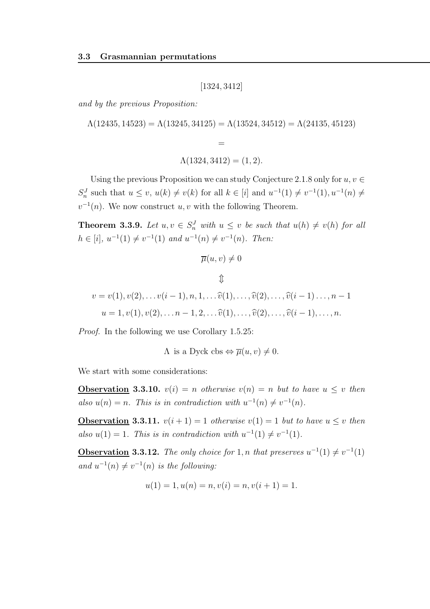[1324, 3412]

and by the previous Proposition:

 $\Lambda(12435, 14523) = \Lambda(13245, 34125) = \Lambda(13524, 34512) = \Lambda(24135, 45123)$ 

$$
\Lambda(1324,3412)=(1,2).
$$

=

Using the previous Proposition we can study Conjecture 2.1.8 only for  $u, v \in$  $S_n^J$  such that  $u \le v$ ,  $u(k) \ne v(k)$  for all  $k \in [i]$  and  $u^{-1}(1) \ne v^{-1}(1)$ ,  $u^{-1}(n) \ne v$  $v^{-1}(n)$ . We now construct u, v with the following Theorem.

**Theorem 3.3.9.** Let  $u, v \in S_n^J$  with  $u \leq v$  be such that  $u(h) \neq v(h)$  for all  $h \in [i], u^{-1}(1) \neq v^{-1}(1)$  and  $u^{-1}(n) \neq v^{-1}(n)$ . Then:

$$
\overline{\mu}(u,v)\neq 0
$$

$$
\mathbb{D}
$$
  

$$
v = v(1), v(2), \dots v(i-1), n, 1, \dots \widehat{v}(1), \dots, \widehat{v}(2), \dots, \widehat{v}(i-1), \dots, n-1
$$
  

$$
u = 1, v(1), v(2), \dots n-1, 2, \dots \widehat{v}(1), \dots, \widehat{v}(2), \dots, \widehat{v}(i-1), \dots, n.
$$

Proof. In the following we use Corollary 1.5.25:

 $\Lambda$  is a Dyck cbs  $\Leftrightarrow \overline{\mu}(u, v) \neq 0$ .

We start with some considerations:

**Observation 3.3.10.**  $v(i) = n$  otherwise  $v(n) = n$  but to have  $u \leq v$  then also  $u(n) = n$ . This is in contradiction with  $u^{-1}(n) \neq v^{-1}(n)$ .

**Observation 3.3.11.**  $v(i + 1) = 1$  otherwise  $v(1) = 1$  but to have  $u \leq v$  then also  $u(1) = 1$ . This is in contradiction with  $u^{-1}(1) \neq v^{-1}(1)$ .

**Observation 3.3.12.** The only choice for 1, n that preserves  $u^{-1}(1) \neq v^{-1}(1)$ and  $u^{-1}(n) \neq v^{-1}(n)$  is the following:

$$
u(1) = 1, u(n) = n, v(i) = n, v(i + 1) = 1.
$$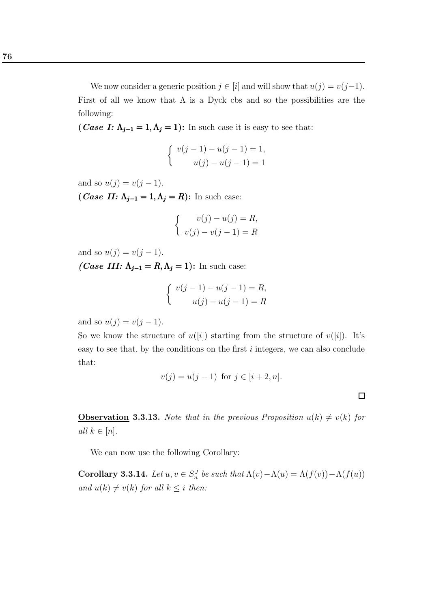76

We now consider a generic position  $j \in [i]$  and will show that  $u(j) = v(j-1)$ . First of all we know that  $\Lambda$  is a Dyck cbs and so the possibilities are the following:

(*Case I:*  $\Lambda_{j-1} = 1, \Lambda_j = 1$ ): In such case it is easy to see that:

$$
\begin{cases}\nv(j-1) - u(j-1) = 1, \\
u(j) - u(j-1) = 1\n\end{cases}
$$

and so  $u(j) = v(j - 1)$ .

(*Case II:*  $\Lambda_{j-1} = 1, \Lambda_j = R$ ): In such case:

$$
\begin{cases}\nv(j) - u(j) = R, \\
v(j) - v(j-1) = R\n\end{cases}
$$

and so  $u(j) = v(j - 1)$ .

*(Case III:*  $\Lambda_{j-1} = R, \Lambda_j = 1$ ): In such case:

$$
\begin{cases}\nv(j-1) - u(j-1) = R, \\
u(j) - u(j-1) = R\n\end{cases}
$$

and so  $u(j) = v(j - 1)$ .

So we know the structure of  $u([i])$  starting from the structure of  $v([i])$ . It's easy to see that, by the conditions on the first  $i$  integers, we can also conclude that:

$$
v(j) = u(j-1)
$$
 for  $j \in [i+2, n]$ .

 $\Box$ 

**Observation 3.3.13.** Note that in the previous Proposition  $u(k) \neq v(k)$  for all  $k \in [n]$ .

We can now use the following Corollary:

**Corollary 3.3.14.** Let  $u, v \in S_n^J$  be such that  $\Lambda(v) - \Lambda(u) = \Lambda(f(v)) - \Lambda(f(u))$ and  $u(k) \neq v(k)$  for all  $k \leq i$  then: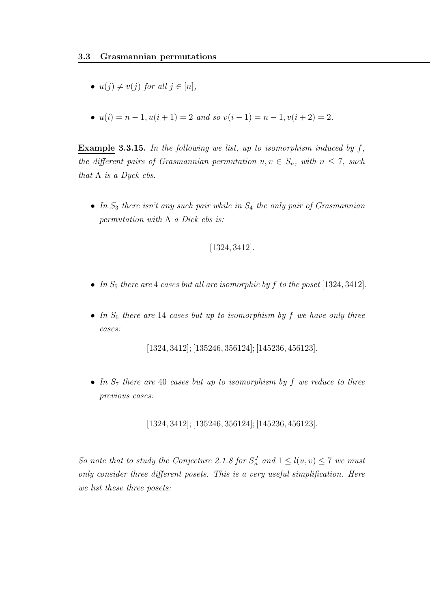- $u(j) \neq v(j)$  for all  $j \in [n]$ ,
- $u(i) = n 1, u(i + 1) = 2$  and so  $v(i 1) = n 1, v(i + 2) = 2$ .

**Example 3.3.15.** In the following we list, up to isomorphism induced by  $f$ , the different pairs of Grasmannian permutation  $u, v \in S_n$ , with  $n \leq 7$ , such that  $\Lambda$  is a Dyck cbs.

• In  $S_3$  there isn't any such pair while in  $S_4$  the only pair of Grasmannian permutation with  $\Lambda$  a Dick cbs is:

## [1324, 3412].

- In  $S_5$  there are 4 cases but all are isomorphic by f to the poset [1324, 3412].
- In  $S_6$  there are 14 cases but up to isomorphism by f we have only three cases:

[1324, 3412]; [135246, 356124]; [145236, 456123].

• In  $S_7$  there are 40 cases but up to isomorphism by f we reduce to three previous cases:

[1324, 3412]; [135246, 356124]; [145236, 456123].

So note that to study the Conjecture 2.1.8 for  $S_n^J$  and  $1 \leq l(u, v) \leq 7$  we must only consider three different posets. This is a very useful simplification. Here we list these three posets: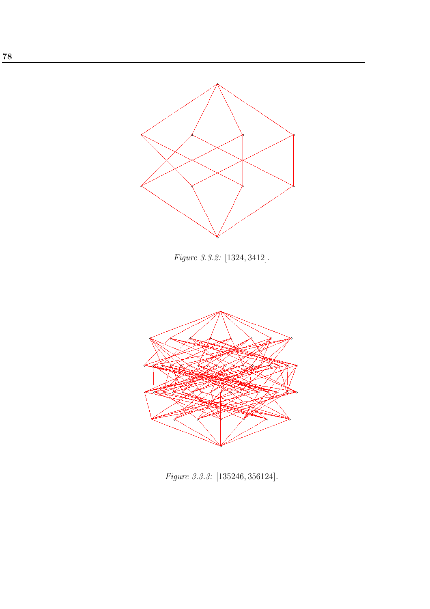

Figure 3.3.2: [1324, 3412].



Figure 3.3.3: [135246, 356124].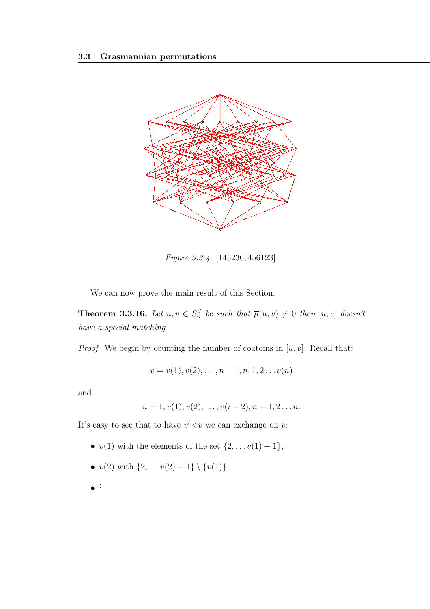

Figure 3.3.4: [145236, 456123].

We can now prove the main result of this Section.

**Theorem 3.3.16.** Let  $u, v \in S_n^J$  be such that  $\overline{\mu}(u, v) \neq 0$  then  $[u, v]$  doesn't have a special matching

*Proof.* We begin by counting the number of coatoms in  $[u, v]$ . Recall that:

$$
v = v(1), v(2), \ldots, n-1, n, 1, 2 \ldots v(n)
$$

and

$$
u = 1, v(1), v(2), \ldots, v(i-2), n-1, 2 \ldots n.
$$

It's easy to see that to have  $v' \triangleleft v$  we can exchange on v:

- $v(1)$  with the elements of the set  $\{2, \ldots v(1) 1\}$ ,
- $v(2)$  with  $\{2, \ldots v(2) 1\} \setminus \{v(1)\},\$
- . . .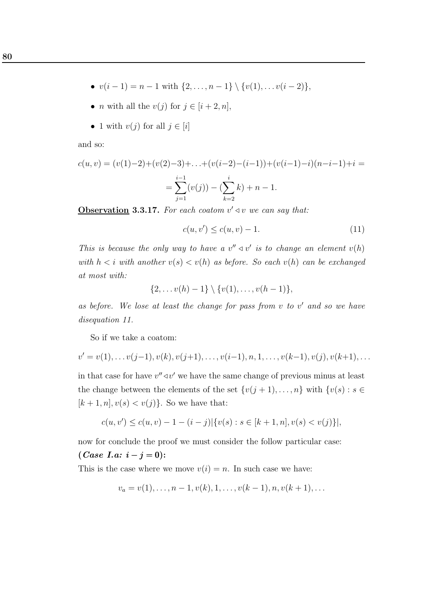- $v(i-1) = n-1$  with  $\{2, ..., n-1\} \setminus \{v(1), ..., v(i-2)\},$
- *n* with all the  $v(j)$  for  $j \in [i+2, n]$ ,
- 1 with  $v(j)$  for all  $j \in [i]$

and so:

$$
c(u, v) = (v(1)-2) + (v(2)-3) + \ldots + (v(i-2)-(i-1)) + (v(i-1)-i)(n-i-1) + i =
$$
  
= 
$$
\sum_{j=1}^{i-1} (v(j)) - (\sum_{k=2}^{i} k) + n - 1.
$$

**Observation 3.3.17.** For each coatom  $v' \triangleleft v$  we can say that:

$$
c(u, v') \le c(u, v) - 1.
$$
\n(11)

This is because the only way to have a  $v'' \triangleleft v'$  is to change an element  $v(h)$ with  $h < i$  with another  $v(s) < v(h)$  as before. So each  $v(h)$  can be exchanged at most with:

$$
\{2,\ldots v(h)-1\}\setminus \{v(1),\ldots,v(h-1)\},\
$$

as before. We lose at least the change for pass from  $v$  to  $v'$  and so we have disequation 11.

So if we take a coatom:

$$
v' = v(1), \ldots v(j-1), v(k), v(j+1), \ldots, v(i-1), n, 1, \ldots, v(k-1), v(j), v(k+1), \ldots
$$

in that case for have  $v'' \triangleleft v'$  we have the same change of previous minus at least the change between the elements of the set  $\{v(j + 1), \ldots, n\}$  with  $\{v(s) : s \in$  $[k + 1, n], v(s) < v(j)$ . So we have that:

$$
c(u, v') \le c(u, v) - 1 - (i - j) |\{v(s) : s \in [k + 1, n], v(s) < v(j)\}|,
$$

now for conclude the proof we must consider the follow particular case:  $(Case I.a: i - j = 0):$ 

This is the case where we move  $v(i) = n$ . In such case we have:

$$
v_a = v(1), \dots, n-1, v(k), 1, \dots, v(k-1), n, v(k+1), \dots
$$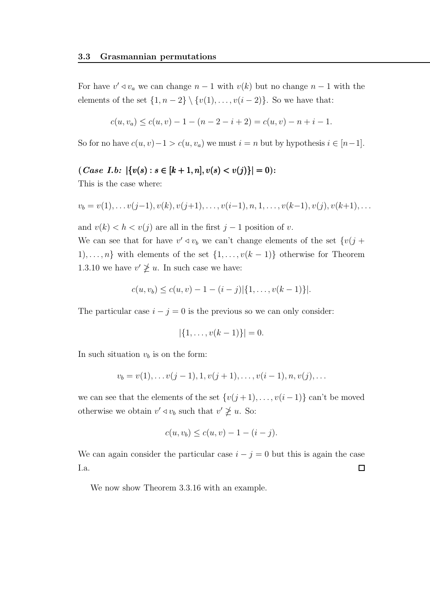For have  $v' \triangleleft v_a$  we can change  $n-1$  with  $v(k)$  but no change  $n-1$  with the elements of the set  $\{1, n-2\} \setminus \{v(1), \ldots, v(i-2)\}.$  So we have that:

$$
c(u, v_a) \le c(u, v) - 1 - (n - 2 - i + 2) = c(u, v) - n + i - 1.
$$

So for no have  $c(u, v) - 1 > c(u, v_a)$  we must  $i = n$  but by hypothesis  $i \in [n-1]$ .

 $(Case I.b: |\{v(s): s \in [k+1, n], v(s) < v(j)\}| = 0$ :

This is the case where:

$$
v_b = v(1), \ldots v(j-1), v(k), v(j+1), \ldots, v(i-1), n, 1, \ldots, v(k-1), v(j), v(k+1), \ldots
$$

and  $v(k) < h < v(j)$  are all in the first  $j-1$  position of v.

We can see that for have  $v' \triangleleft v_b$  we can't change elements of the set  $\{v(j +$ 1), ..., *n*} with elements of the set  $\{1, \ldots, v(k-1)\}$  otherwise for Theorem 1.3.10 we have  $v' \not\geq u$ . In such case we have:

$$
c(u, v_b) \leq c(u, v) - 1 - (i - j) | \{1, \ldots, v(k - 1)\}|.
$$

The particular case  $i - j = 0$  is the previous so we can only consider:

$$
|\{1,\ldots,v(k-1)\}|=0.
$$

In such situation  $v_b$  is on the form:

$$
v_b = v(1), \dots v(j-1), 1, v(j+1), \dots, v(i-1), n, v(j), \dots
$$

we can see that the elements of the set  $\{v(j + 1), \ldots, v(i-1)\}$  can't be moved otherwise we obtain  $v' \triangleleft v_b$  such that  $v' \ngeq u$ . So:

$$
c(u, v_b) \le c(u, v) - 1 - (i - j).
$$

We can again consider the particular case  $i - j = 0$  but this is again the case  $\Box$ I.a.

We now show Theorem 3.3.16 with an example.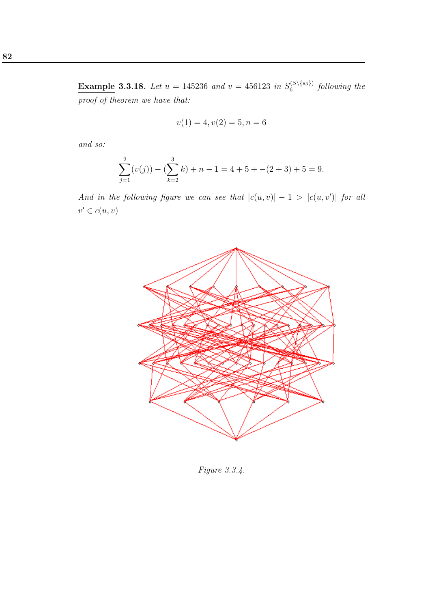**Example 3.3.18.** Let  $u = 145236$  and  $v = 456123$  in  $S_6^{(S\setminus\{s_3\})}$  $\int_6^{(3\setminus\{s_3\})} 6$ llowing the proof of theorem we have that:

$$
v(1) = 4, v(2) = 5, n = 6
$$

and so:

$$
\sum_{j=1}^{2} (v(j)) - (\sum_{k=2}^{3} k) + n - 1 = 4 + 5 - (2 + 3) + 5 = 9.
$$

And in the following figure we can see that  $|c(u, v)| - 1 > |c(u, v')|$  for all  $v' \in c(u, v)$ 



Figure 3.3.4.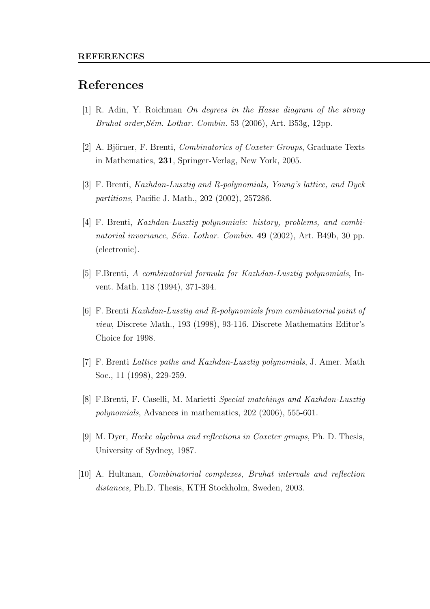## References

- [1] R. Adin, Y. Roichman On degrees in the Hasse diagram of the strong Bruhat order, Sém. Lothar. Combin. 53 (2006), Art. B53g, 12pp.
- [2] A. Björner, F. Brenti, *Combinatorics of Coxeter Groups*, Graduate Texts in Mathematics, 231, Springer-Verlag, New York, 2005.
- [3] F. Brenti, Kazhdan-Lusztig and R-polynomials, Young's lattice, and Dyck partitions, Pacific J. Math., 202 (2002), 257286.
- [4] F. Brenti, Kazhdan-Lusztig polynomials: history, problems, and combinatorial invariance, Sém. Lothar. Combin. 49 (2002), Art. B49b, 30 pp. (electronic).
- [5] F.Brenti, A combinatorial formula for Kazhdan-Lusztig polynomials, Invent. Math. 118 (1994), 371-394.
- [6] F. Brenti Kazhdan-Lusztig and R-polynomials from combinatorial point of view, Discrete Math., 193 (1998), 93-116. Discrete Mathematics Editor's Choice for 1998.
- [7] F. Brenti Lattice paths and Kazhdan-Lusztig polynomials, J. Amer. Math Soc., 11 (1998), 229-259.
- [8] F.Brenti, F. Caselli, M. Marietti Special matchings and Kazhdan-Lusztig polynomials, Advances in mathematics, 202 (2006), 555-601.
- [9] M. Dyer, Hecke algebras and reflections in Coxeter groups, Ph. D. Thesis, University of Sydney, 1987.
- [10] A. Hultman, Combinatorial complexes, Bruhat intervals and reflection distances, Ph.D. Thesis, KTH Stockholm, Sweden, 2003.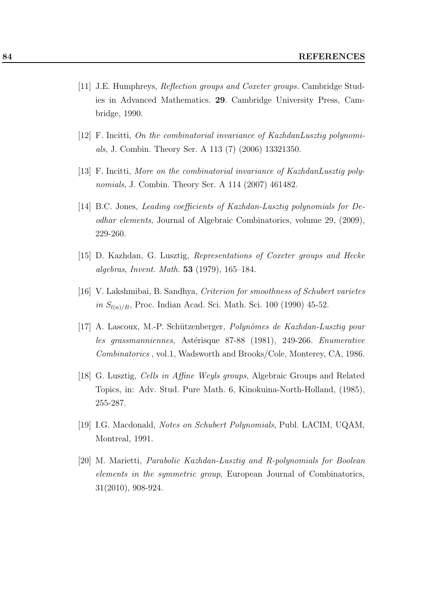- [11] J.E. Humphreys, Reflection groups and Coxeter groups. Cambridge Studies in Advanced Mathematics. 29. Cambridge University Press, Cambridge, 1990.
- [12] F. Incitti, On the combinatorial invariance of KazhdanLusztig polynomials, J. Combin. Theory Ser. A 113 (7) (2006) 13321350.
- [13] F. Incitti, More on the combinatorial invariance of KazhdanLusztig polynomials, J. Combin. Theory Ser. A 114 (2007) 461482.
- [14] B.C. Jones, Leading coefficients of Kazhdan-Lusztig polynomials for Deodhar elements, Journal of Algebraic Combinatorics, volume 29, (2009), 229-260.
- [15] D. Kazhdan, G. Lusztig, Representations of Coxeter groups and Hecke algebras, Invent. Math. 53 (1979), 165–184.
- [16] V. Lakshmibai, B. Sandhya, Criterion for smoothness of Schubert varietes in  $S_{l(n)/B}$ , Proc. Indian Acad. Sci. Math. Sci. 100 (1990) 45-52.
- [17] A. Lascoux, M.-P. Schützenberger, *Polynômes de Kazhdan-Lusztig pour* les grassmanniennes, Astérisque 87-88 (1981), 249-266. Enumerative Combinatorics , vol.1, Wadsworth and Brooks/Cole, Monterey, CA, 1986.
- [18] G. Lusztig, Cells in Affine Weyls groups, Algebraic Groups and Related Topics, in: Adv. Stud. Pure Math. 6, Kinokuina-North-Holland, (1985), 255-287.
- [19] I.G. Macdonald, Notes on Schubert Polynomials, Publ. LACIM, UQAM, Montreal, 1991.
- [20] M. Marietti, Parabolic Kazhdan-Lusztig and R-polynomials for Boolean elements in the symmetric group, European Journal of Combinatorics, 31(2010), 908-924.